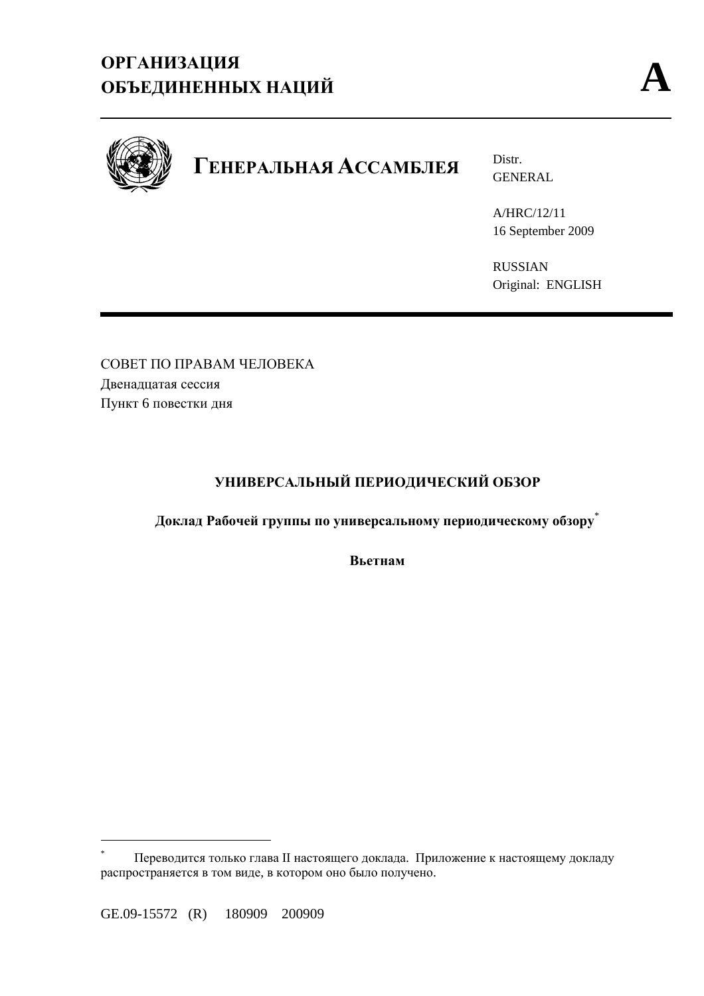

# **ГЕНЕРАЛЬНАЯ АССАМБЛЕЯ** Distr.

GENERAL

A/HRC/12/11 16 September 2009

RUSSIAN Original: ENGLISH

СОВЕТ ПО ПРАВАМ ЧЕЛОВЕКА Двенадцатая сессия Пункт 6 повестки дня

# **УНИВЕРСАЛЬНЫЙ ПЕРИОДИЧЕСКИЙ ОБЗОР**

**Доклад Рабочей группы по универсальному периодическому обзору**\*

**Вьетнам**

 $\overline{a}$ 

<sup>\*</sup> Переводится только глава II настоящего доклада. Приложение к настоящему докладу распространяется в том виде, в котором оно было получено.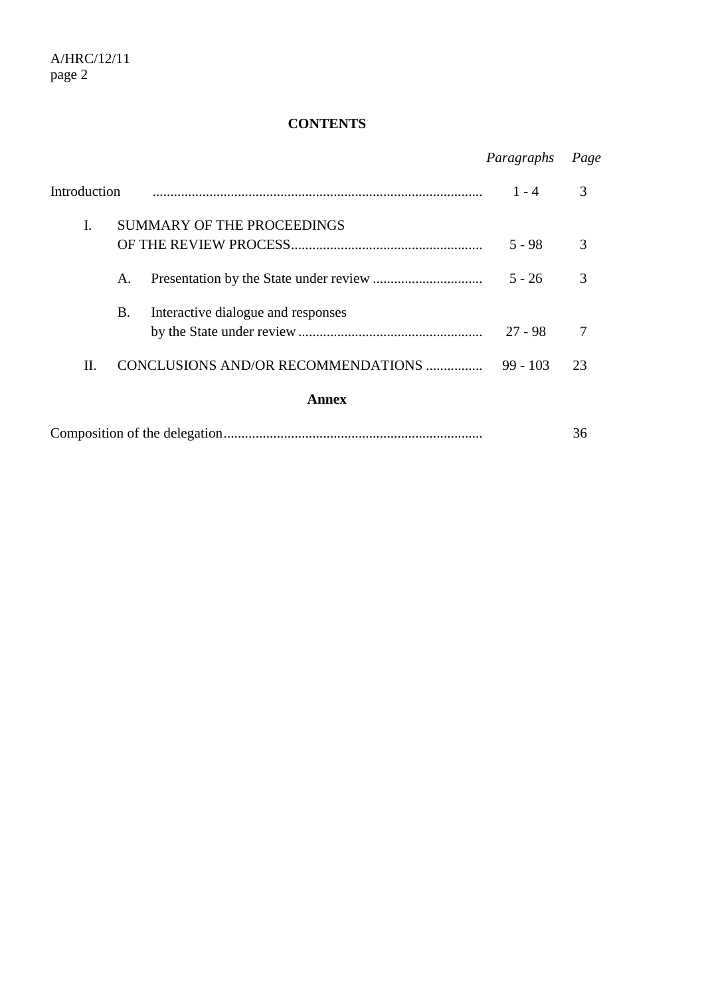# **CONTENTS**

|                                           | Paragraphs | Page |
|-------------------------------------------|------------|------|
| Introduction                              | $1 - 4$    | 3    |
| I.<br><b>SUMMARY OF THE PROCEEDINGS</b>   |            |      |
|                                           | 5 - 98     | 3    |
| A.                                        | $5 - 26$   | 3    |
| Β.<br>Interactive dialogue and responses  |            |      |
|                                           | $27 - 98$  |      |
| II.<br>CONCLUSIONS AND/OR RECOMMENDATIONS | $99 - 103$ | 23   |
| Annex                                     |            |      |
|                                           |            | 36   |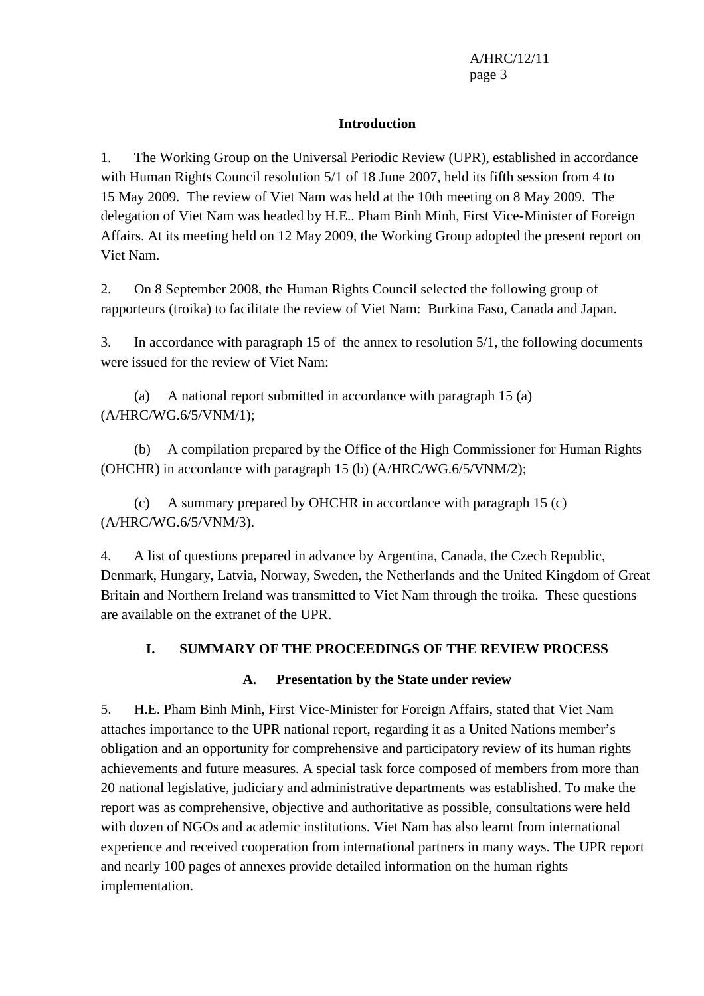#### **Introduction**

1. The Working Group on the Universal Periodic Review (UPR), established in accordance with Human Rights Council resolution 5/1 of 18 June 2007, held its fifth session from 4 to 15 May 2009. The review of Viet Nam was held at the 10th meeting on 8 May 2009. The delegation of Viet Nam was headed by H.E.. Pham Binh Minh, First Vice-Minister of Foreign Affairs. At its meeting held on 12 May 2009, the Working Group adopted the present report on Viet Nam.

2. On 8 September 2008, the Human Rights Council selected the following group of rapporteurs (troika) to facilitate the review of Viet Nam: Burkina Faso, Canada and Japan.

3. In accordance with paragraph 15 of the annex to resolution 5/1, the following documents were issued for the review of Viet Nam:

 (a) A national report submitted in accordance with paragraph 15 (a) (A/HRC/WG.6/5/VNM/1);

 (b) A compilation prepared by the Office of the High Commissioner for Human Rights (OHCHR) in accordance with paragraph 15 (b) (A/HRC/WG.6/5/VNM/2);

 (c) A summary prepared by OHCHR in accordance with paragraph 15 (c) (A/HRC/WG.6/5/VNM/3).

4. A list of questions prepared in advance by Argentina, Canada, the Czech Republic, Denmark, Hungary, Latvia, Norway, Sweden, the Netherlands and the United Kingdom of Great Britain and Northern Ireland was transmitted to Viet Nam through the troika. These questions are available on the extranet of the UPR.

# **I. SUMMARY OF THE PROCEEDINGS OF THE REVIEW PROCESS**

# **A. Presentation by the State under review**

5. H.E. Pham Binh Minh, First Vice-Minister for Foreign Affairs, stated that Viet Nam attaches importance to the UPR national report, regarding it as a United Nations member's obligation and an opportunity for comprehensive and participatory review of its human rights achievements and future measures. A special task force composed of members from more than 20 national legislative, judiciary and administrative departments was established. To make the report was as comprehensive, objective and authoritative as possible, consultations were held with dozen of NGOs and academic institutions. Viet Nam has also learnt from international experience and received cooperation from international partners in many ways. The UPR report and nearly 100 pages of annexes provide detailed information on the human rights implementation.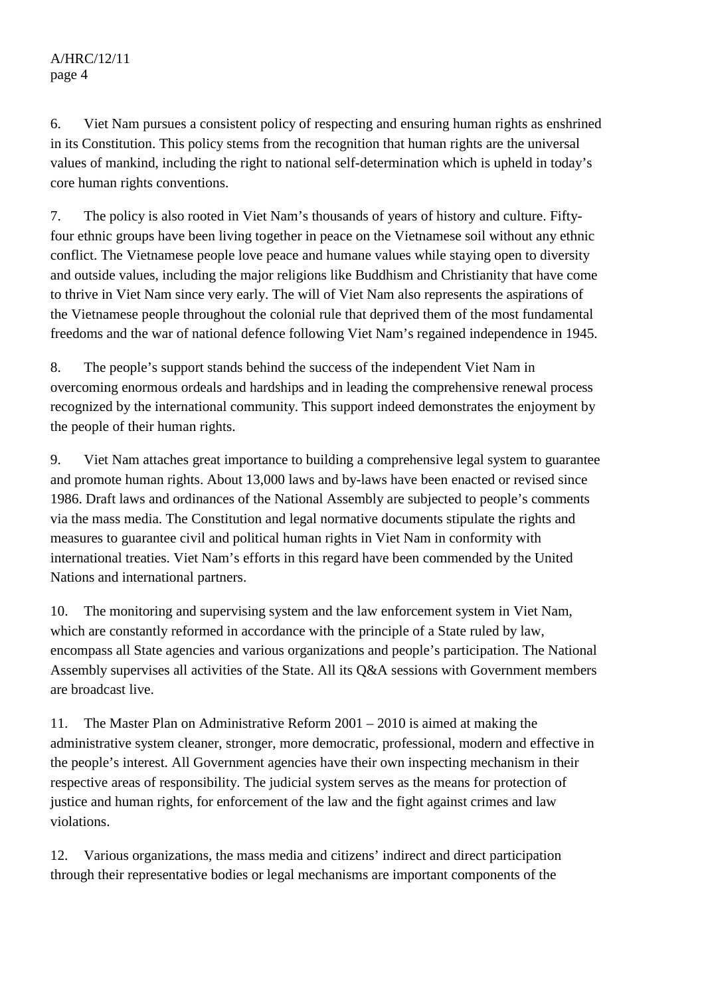6. Viet Nam pursues a consistent policy of respecting and ensuring human rights as enshrined in its Constitution. This policy stems from the recognition that human rights are the universal values of mankind, including the right to national self-determination which is upheld in today's core human rights conventions.

7. The policy is also rooted in Viet Nam's thousands of years of history and culture. Fiftyfour ethnic groups have been living together in peace on the Vietnamese soil without any ethnic conflict. The Vietnamese people love peace and humane values while staying open to diversity and outside values, including the major religions like Buddhism and Christianity that have come to thrive in Viet Nam since very early. The will of Viet Nam also represents the aspirations of the Vietnamese people throughout the colonial rule that deprived them of the most fundamental freedoms and the war of national defence following Viet Nam's regained independence in 1945.

8. The people's support stands behind the success of the independent Viet Nam in overcoming enormous ordeals and hardships and in leading the comprehensive renewal process recognized by the international community. This support indeed demonstrates the enjoyment by the people of their human rights.

9. Viet Nam attaches great importance to building a comprehensive legal system to guarantee and promote human rights. About 13,000 laws and by-laws have been enacted or revised since 1986. Draft laws and ordinances of the National Assembly are subjected to people's comments via the mass media. The Constitution and legal normative documents stipulate the rights and measures to guarantee civil and political human rights in Viet Nam in conformity with international treaties. Viet Nam's efforts in this regard have been commended by the United Nations and international partners.

10. The monitoring and supervising system and the law enforcement system in Viet Nam, which are constantly reformed in accordance with the principle of a State ruled by law, encompass all State agencies and various organizations and people's participation. The National Assembly supervises all activities of the State. All its Q&A sessions with Government members are broadcast live.

11. The Master Plan on Administrative Reform 2001 – 2010 is aimed at making the administrative system cleaner, stronger, more democratic, professional, modern and effective in the people's interest. All Government agencies have their own inspecting mechanism in their respective areas of responsibility. The judicial system serves as the means for protection of justice and human rights, for enforcement of the law and the fight against crimes and law violations.

12. Various organizations, the mass media and citizens' indirect and direct participation through their representative bodies or legal mechanisms are important components of the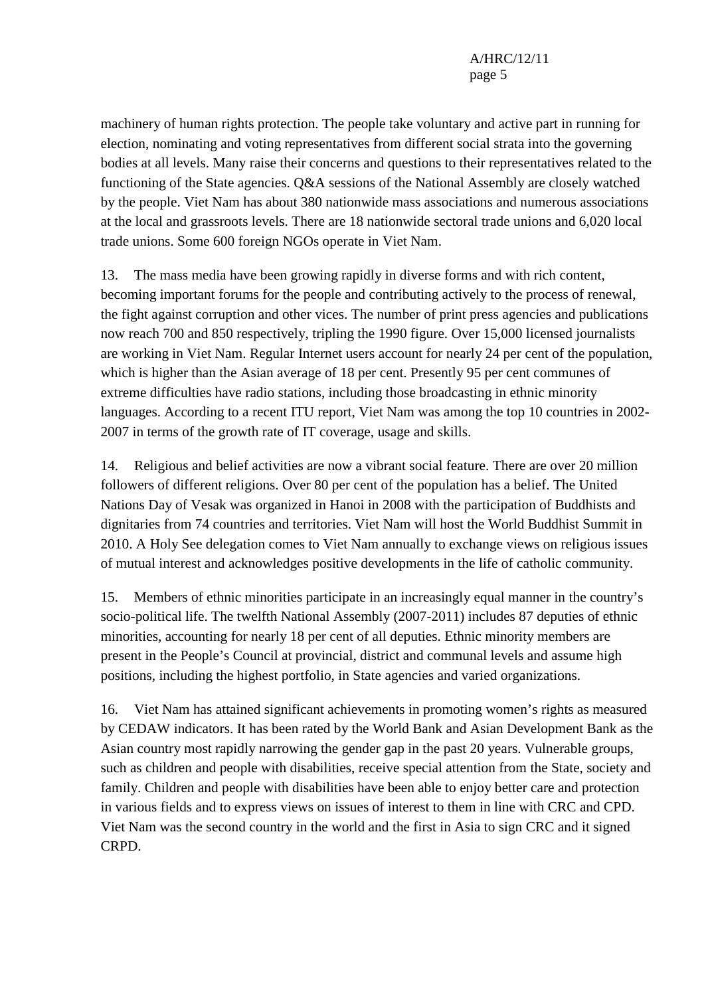machinery of human rights protection. The people take voluntary and active part in running for election, nominating and voting representatives from different social strata into the governing bodies at all levels. Many raise their concerns and questions to their representatives related to the functioning of the State agencies. Q&A sessions of the National Assembly are closely watched by the people. Viet Nam has about 380 nationwide mass associations and numerous associations at the local and grassroots levels. There are 18 nationwide sectoral trade unions and 6,020 local trade unions. Some 600 foreign NGOs operate in Viet Nam.

13. The mass media have been growing rapidly in diverse forms and with rich content, becoming important forums for the people and contributing actively to the process of renewal, the fight against corruption and other vices. The number of print press agencies and publications now reach 700 and 850 respectively, tripling the 1990 figure. Over 15,000 licensed journalists are working in Viet Nam. Regular Internet users account for nearly 24 per cent of the population, which is higher than the Asian average of 18 per cent. Presently 95 per cent communes of extreme difficulties have radio stations, including those broadcasting in ethnic minority languages. According to a recent ITU report, Viet Nam was among the top 10 countries in 2002- 2007 in terms of the growth rate of IT coverage, usage and skills.

14. Religious and belief activities are now a vibrant social feature. There are over 20 million followers of different religions. Over 80 per cent of the population has a belief. The United Nations Day of Vesak was organized in Hanoi in 2008 with the participation of Buddhists and dignitaries from 74 countries and territories. Viet Nam will host the World Buddhist Summit in 2010. A Holy See delegation comes to Viet Nam annually to exchange views on religious issues of mutual interest and acknowledges positive developments in the life of catholic community.

15. Members of ethnic minorities participate in an increasingly equal manner in the country's socio-political life. The twelfth National Assembly (2007-2011) includes 87 deputies of ethnic minorities, accounting for nearly 18 per cent of all deputies. Ethnic minority members are present in the People's Council at provincial, district and communal levels and assume high positions, including the highest portfolio, in State agencies and varied organizations.

16. Viet Nam has attained significant achievements in promoting women's rights as measured by CEDAW indicators. It has been rated by the World Bank and Asian Development Bank as the Asian country most rapidly narrowing the gender gap in the past 20 years. Vulnerable groups, such as children and people with disabilities, receive special attention from the State, society and family. Children and people with disabilities have been able to enjoy better care and protection in various fields and to express views on issues of interest to them in line with CRC and CPD. Viet Nam was the second country in the world and the first in Asia to sign CRC and it signed CRPD.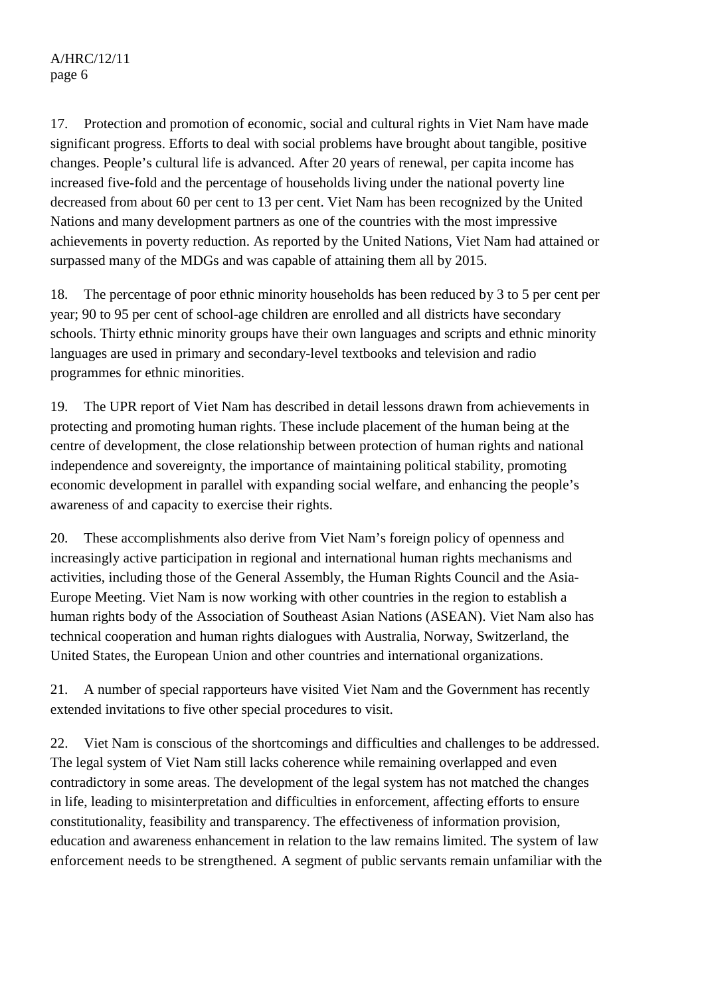# A/HRC/12/11 page 6

17. Protection and promotion of economic, social and cultural rights in Viet Nam have made significant progress. Efforts to deal with social problems have brought about tangible, positive changes. People's cultural life is advanced. After 20 years of renewal, per capita income has increased five-fold and the percentage of households living under the national poverty line decreased from about 60 per cent to 13 per cent. Viet Nam has been recognized by the United Nations and many development partners as one of the countries with the most impressive achievements in poverty reduction. As reported by the United Nations, Viet Nam had attained or surpassed many of the MDGs and was capable of attaining them all by 2015.

18. The percentage of poor ethnic minority households has been reduced by 3 to 5 per cent per year; 90 to 95 per cent of school-age children are enrolled and all districts have secondary schools. Thirty ethnic minority groups have their own languages and scripts and ethnic minority languages are used in primary and secondary-level textbooks and television and radio programmes for ethnic minorities.

19. The UPR report of Viet Nam has described in detail lessons drawn from achievements in protecting and promoting human rights. These include placement of the human being at the centre of development, the close relationship between protection of human rights and national independence and sovereignty, the importance of maintaining political stability, promoting economic development in parallel with expanding social welfare, and enhancing the people's awareness of and capacity to exercise their rights.

20. These accomplishments also derive from Viet Nam's foreign policy of openness and increasingly active participation in regional and international human rights mechanisms and activities, including those of the General Assembly, the Human Rights Council and the Asia-Europe Meeting. Viet Nam is now working with other countries in the region to establish a human rights body of the Association of Southeast Asian Nations (ASEAN). Viet Nam also has technical cooperation and human rights dialogues with Australia, Norway, Switzerland, the United States, the European Union and other countries and international organizations.

21. A number of special rapporteurs have visited Viet Nam and the Government has recently extended invitations to five other special procedures to visit.

22. Viet Nam is conscious of the shortcomings and difficulties and challenges to be addressed. The legal system of Viet Nam still lacks coherence while remaining overlapped and even contradictory in some areas. The development of the legal system has not matched the changes in life, leading to misinterpretation and difficulties in enforcement, affecting efforts to ensure constitutionality, feasibility and transparency. The effectiveness of information provision, education and awareness enhancement in relation to the law remains limited. The system of law enforcement needs to be strengthened. A segment of public servants remain unfamiliar with the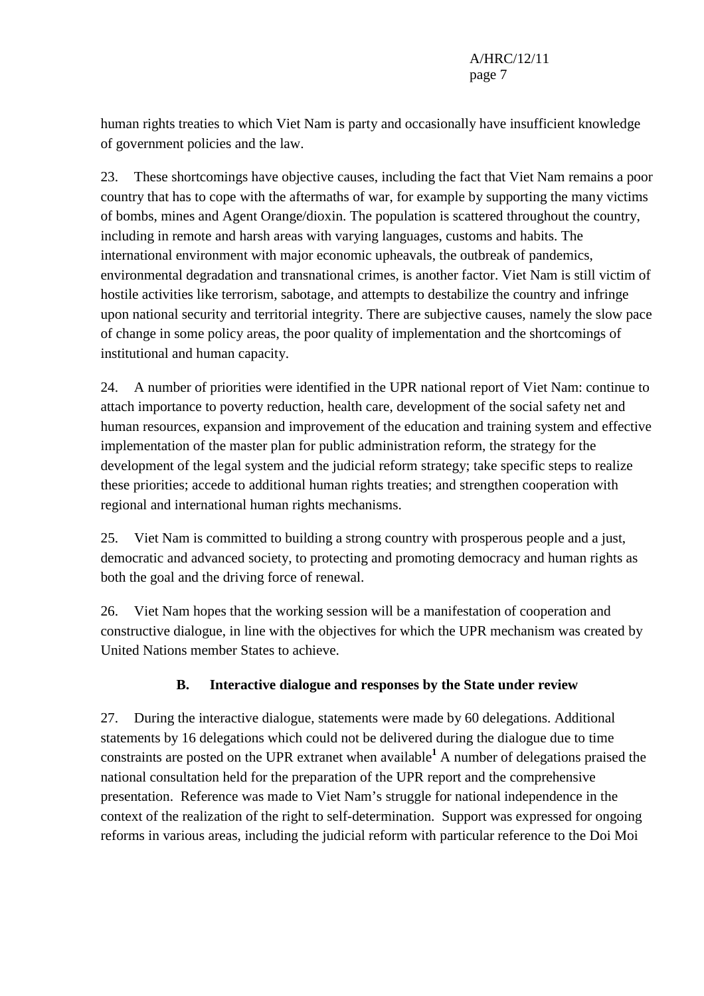human rights treaties to which Viet Nam is party and occasionally have insufficient knowledge of government policies and the law.

23. These shortcomings have objective causes, including the fact that Viet Nam remains a poor country that has to cope with the aftermaths of war, for example by supporting the many victims of bombs, mines and Agent Orange/dioxin. The population is scattered throughout the country, including in remote and harsh areas with varying languages, customs and habits. The international environment with major economic upheavals, the outbreak of pandemics, environmental degradation and transnational crimes, is another factor. Viet Nam is still victim of hostile activities like terrorism, sabotage, and attempts to destabilize the country and infringe upon national security and territorial integrity. There are subjective causes, namely the slow pace of change in some policy areas, the poor quality of implementation and the shortcomings of institutional and human capacity.

24. A number of priorities were identified in the UPR national report of Viet Nam: continue to attach importance to poverty reduction, health care, development of the social safety net and human resources, expansion and improvement of the education and training system and effective implementation of the master plan for public administration reform, the strategy for the development of the legal system and the judicial reform strategy; take specific steps to realize these priorities; accede to additional human rights treaties; and strengthen cooperation with regional and international human rights mechanisms.

25. Viet Nam is committed to building a strong country with prosperous people and a just, democratic and advanced society, to protecting and promoting democracy and human rights as both the goal and the driving force of renewal.

26. Viet Nam hopes that the working session will be a manifestation of cooperation and constructive dialogue, in line with the objectives for which the UPR mechanism was created by United Nations member States to achieve.

# **B. Interactive dialogue and responses by the State under review**

27. During the interactive dialogue, statements were made by 60 delegations. Additional statements by 16 delegations which could not be delivered during the dialogue due to time constraints are posted on the UPR extranet when available<sup>1</sup> A number of delegations praised the national consultation held for the preparation of the UPR report and the comprehensive presentation. Reference was made to Viet Nam's struggle for national independence in the context of the realization of the right to self-determination. Support was expressed for ongoing reforms in various areas, including the judicial reform with particular reference to the Doi Moi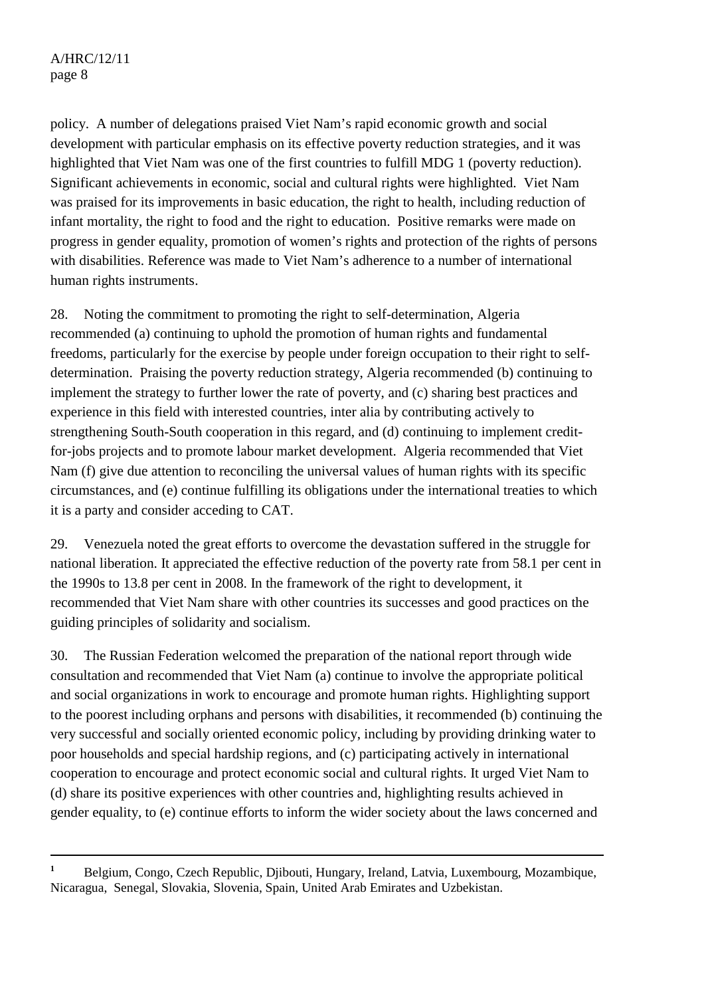$\overline{a}$ 

policy. A number of delegations praised Viet Nam's rapid economic growth and social development with particular emphasis on its effective poverty reduction strategies, and it was highlighted that Viet Nam was one of the first countries to fulfill MDG 1 (poverty reduction). Significant achievements in economic, social and cultural rights were highlighted. Viet Nam was praised for its improvements in basic education, the right to health, including reduction of infant mortality, the right to food and the right to education. Positive remarks were made on progress in gender equality, promotion of women's rights and protection of the rights of persons with disabilities. Reference was made to Viet Nam's adherence to a number of international human rights instruments.

28. Noting the commitment to promoting the right to self-determination, Algeria recommended (a) continuing to uphold the promotion of human rights and fundamental freedoms, particularly for the exercise by people under foreign occupation to their right to selfdetermination. Praising the poverty reduction strategy, Algeria recommended (b) continuing to implement the strategy to further lower the rate of poverty, and (c) sharing best practices and experience in this field with interested countries, inter alia by contributing actively to strengthening South-South cooperation in this regard, and (d) continuing to implement creditfor-jobs projects and to promote labour market development. Algeria recommended that Viet Nam (f) give due attention to reconciling the universal values of human rights with its specific circumstances, and (e) continue fulfilling its obligations under the international treaties to which it is a party and consider acceding to CAT.

29. Venezuela noted the great efforts to overcome the devastation suffered in the struggle for national liberation. It appreciated the effective reduction of the poverty rate from 58.1 per cent in the 1990s to 13.8 per cent in 2008. In the framework of the right to development, it recommended that Viet Nam share with other countries its successes and good practices on the guiding principles of solidarity and socialism.

30. The Russian Federation welcomed the preparation of the national report through wide consultation and recommended that Viet Nam (a) continue to involve the appropriate political and social organizations in work to encourage and promote human rights. Highlighting support to the poorest including orphans and persons with disabilities, it recommended (b) continuing the very successful and socially oriented economic policy, including by providing drinking water to poor households and special hardship regions, and (c) participating actively in international cooperation to encourage and protect economic social and cultural rights. It urged Viet Nam to (d) share its positive experiences with other countries and, highlighting results achieved in gender equality, to (e) continue efforts to inform the wider society about the laws concerned and

**<sup>1</sup>** Belgium, Congo, Czech Republic, Djibouti, Hungary, Ireland, Latvia, Luxembourg, Mozambique, Nicaragua, Senegal, Slovakia, Slovenia, Spain, United Arab Emirates and Uzbekistan.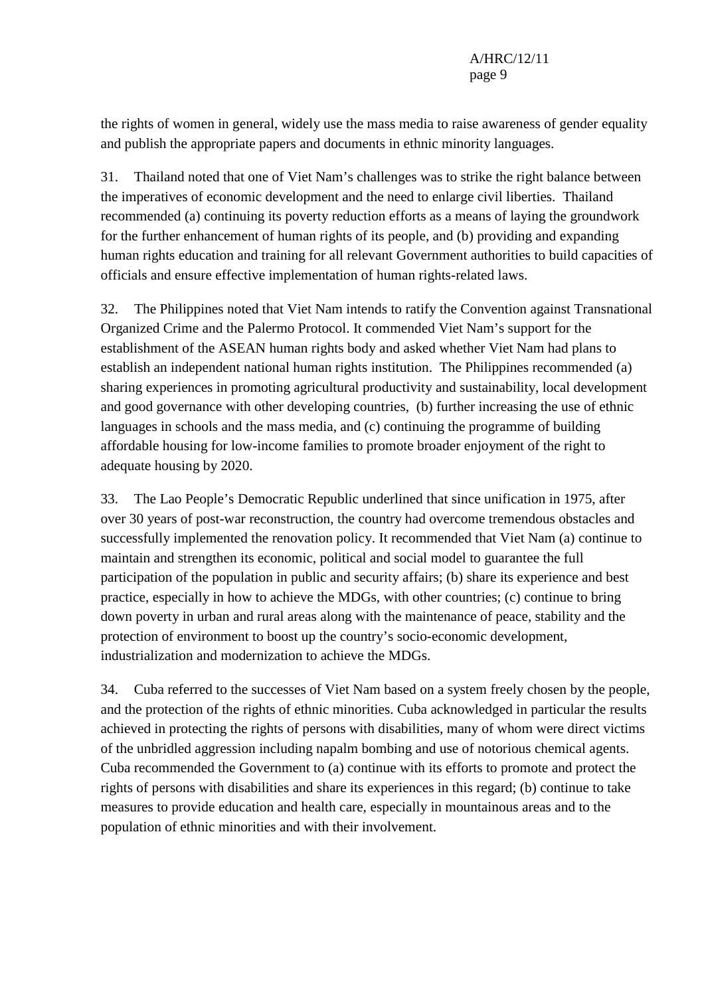the rights of women in general, widely use the mass media to raise awareness of gender equality and publish the appropriate papers and documents in ethnic minority languages.

31. Thailand noted that one of Viet Nam's challenges was to strike the right balance between the imperatives of economic development and the need to enlarge civil liberties. Thailand recommended (a) continuing its poverty reduction efforts as a means of laying the groundwork for the further enhancement of human rights of its people, and (b) providing and expanding human rights education and training for all relevant Government authorities to build capacities of officials and ensure effective implementation of human rights-related laws.

32. The Philippines noted that Viet Nam intends to ratify the Convention against Transnational Organized Crime and the Palermo Protocol. It commended Viet Nam's support for the establishment of the ASEAN human rights body and asked whether Viet Nam had plans to establish an independent national human rights institution. The Philippines recommended (a) sharing experiences in promoting agricultural productivity and sustainability, local development and good governance with other developing countries, (b) further increasing the use of ethnic languages in schools and the mass media, and (c) continuing the programme of building affordable housing for low-income families to promote broader enjoyment of the right to adequate housing by 2020.

33. The Lao People's Democratic Republic underlined that since unification in 1975, after over 30 years of post-war reconstruction, the country had overcome tremendous obstacles and successfully implemented the renovation policy. It recommended that Viet Nam (a) continue to maintain and strengthen its economic, political and social model to guarantee the full participation of the population in public and security affairs; (b) share its experience and best practice, especially in how to achieve the MDGs, with other countries; (c) continue to bring down poverty in urban and rural areas along with the maintenance of peace, stability and the protection of environment to boost up the country's socio-economic development, industrialization and modernization to achieve the MDGs.

34. Cuba referred to the successes of Viet Nam based on a system freely chosen by the people, and the protection of the rights of ethnic minorities. Cuba acknowledged in particular the results achieved in protecting the rights of persons with disabilities, many of whom were direct victims of the unbridled aggression including napalm bombing and use of notorious chemical agents. Cuba recommended the Government to (a) continue with its efforts to promote and protect the rights of persons with disabilities and share its experiences in this regard; (b) continue to take measures to provide education and health care, especially in mountainous areas and to the population of ethnic minorities and with their involvement.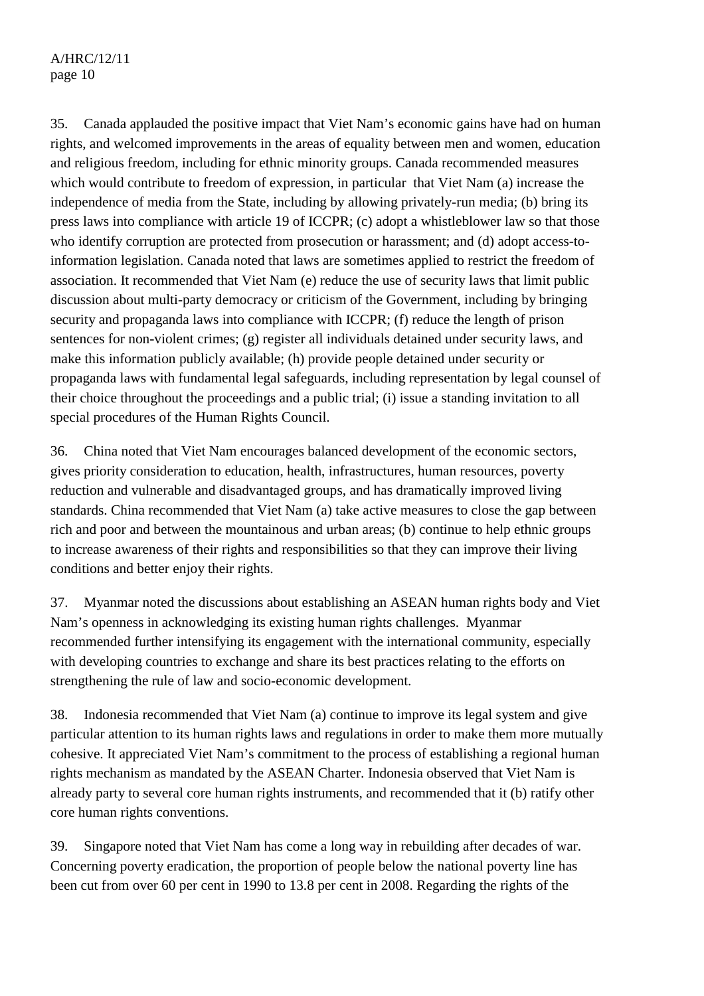# A/HRC/12/11 page 10

35. Canada applauded the positive impact that Viet Nam's economic gains have had on human rights, and welcomed improvements in the areas of equality between men and women, education and religious freedom, including for ethnic minority groups. Canada recommended measures which would contribute to freedom of expression, in particular that Viet Nam (a) increase the independence of media from the State, including by allowing privately-run media; (b) bring its press laws into compliance with article 19 of ICCPR; (c) adopt a whistleblower law so that those who identify corruption are protected from prosecution or harassment; and (d) adopt access-toinformation legislation. Canada noted that laws are sometimes applied to restrict the freedom of association. It recommended that Viet Nam (e) reduce the use of security laws that limit public discussion about multi-party democracy or criticism of the Government, including by bringing security and propaganda laws into compliance with ICCPR; (f) reduce the length of prison sentences for non-violent crimes; (g) register all individuals detained under security laws, and make this information publicly available; (h) provide people detained under security or propaganda laws with fundamental legal safeguards, including representation by legal counsel of their choice throughout the proceedings and a public trial; (i) issue a standing invitation to all special procedures of the Human Rights Council.

36. China noted that Viet Nam encourages balanced development of the economic sectors, gives priority consideration to education, health, infrastructures, human resources, poverty reduction and vulnerable and disadvantaged groups, and has dramatically improved living standards. China recommended that Viet Nam (a) take active measures to close the gap between rich and poor and between the mountainous and urban areas; (b) continue to help ethnic groups to increase awareness of their rights and responsibilities so that they can improve their living conditions and better enjoy their rights.

37. Myanmar noted the discussions about establishing an ASEAN human rights body and Viet Nam's openness in acknowledging its existing human rights challenges. Myanmar recommended further intensifying its engagement with the international community, especially with developing countries to exchange and share its best practices relating to the efforts on strengthening the rule of law and socio-economic development.

38. Indonesia recommended that Viet Nam (a) continue to improve its legal system and give particular attention to its human rights laws and regulations in order to make them more mutually cohesive. It appreciated Viet Nam's commitment to the process of establishing a regional human rights mechanism as mandated by the ASEAN Charter. Indonesia observed that Viet Nam is already party to several core human rights instruments, and recommended that it (b) ratify other core human rights conventions.

39. Singapore noted that Viet Nam has come a long way in rebuilding after decades of war. Concerning poverty eradication, the proportion of people below the national poverty line has been cut from over 60 per cent in 1990 to 13.8 per cent in 2008. Regarding the rights of the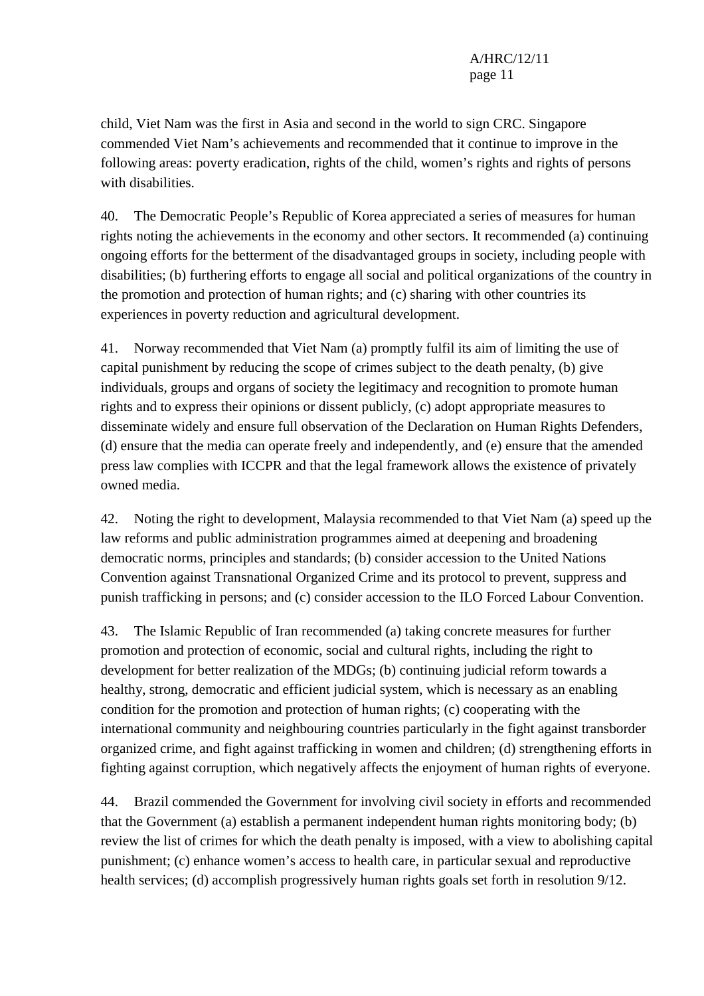child, Viet Nam was the first in Asia and second in the world to sign CRC. Singapore commended Viet Nam's achievements and recommended that it continue to improve in the following areas: poverty eradication, rights of the child, women's rights and rights of persons with disabilities.

40. The Democratic People's Republic of Korea appreciated a series of measures for human rights noting the achievements in the economy and other sectors. It recommended (a) continuing ongoing efforts for the betterment of the disadvantaged groups in society, including people with disabilities; (b) furthering efforts to engage all social and political organizations of the country in the promotion and protection of human rights; and (c) sharing with other countries its experiences in poverty reduction and agricultural development.

41. Norway recommended that Viet Nam (a) promptly fulfil its aim of limiting the use of capital punishment by reducing the scope of crimes subject to the death penalty, (b) give individuals, groups and organs of society the legitimacy and recognition to promote human rights and to express their opinions or dissent publicly, (c) adopt appropriate measures to disseminate widely and ensure full observation of the Declaration on Human Rights Defenders, (d) ensure that the media can operate freely and independently, and (e) ensure that the amended press law complies with ICCPR and that the legal framework allows the existence of privately owned media.

42. Noting the right to development, Malaysia recommended to that Viet Nam (a) speed up the law reforms and public administration programmes aimed at deepening and broadening democratic norms, principles and standards; (b) consider accession to the United Nations Convention against Transnational Organized Crime and its protocol to prevent, suppress and punish trafficking in persons; and (c) consider accession to the ILO Forced Labour Convention.

43. The Islamic Republic of Iran recommended (a) taking concrete measures for further promotion and protection of economic, social and cultural rights, including the right to development for better realization of the MDGs; (b) continuing judicial reform towards a healthy, strong, democratic and efficient judicial system, which is necessary as an enabling condition for the promotion and protection of human rights; (c) cooperating with the international community and neighbouring countries particularly in the fight against transborder organized crime, and fight against trafficking in women and children; (d) strengthening efforts in fighting against corruption, which negatively affects the enjoyment of human rights of everyone.

44. Brazil commended the Government for involving civil society in efforts and recommended that the Government (a) establish a permanent independent human rights monitoring body; (b) review the list of crimes for which the death penalty is imposed, with a view to abolishing capital punishment; (c) enhance women's access to health care, in particular sexual and reproductive health services; (d) accomplish progressively human rights goals set forth in resolution 9/12.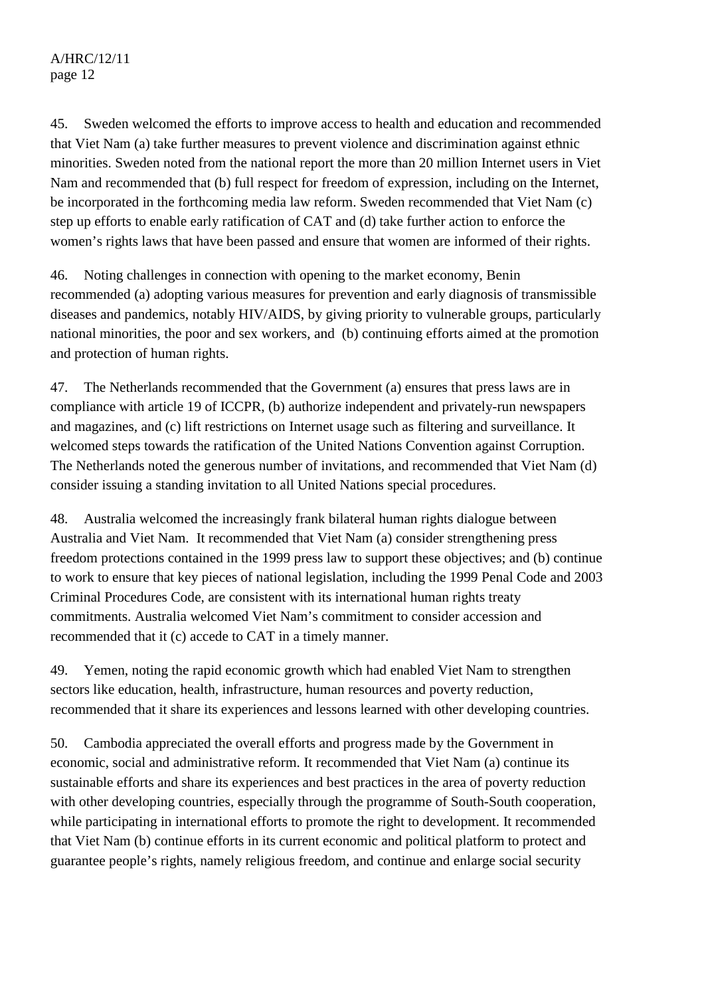45. Sweden welcomed the efforts to improve access to health and education and recommended that Viet Nam (a) take further measures to prevent violence and discrimination against ethnic minorities. Sweden noted from the national report the more than 20 million Internet users in Viet Nam and recommended that (b) full respect for freedom of expression, including on the Internet, be incorporated in the forthcoming media law reform. Sweden recommended that Viet Nam (c) step up efforts to enable early ratification of CAT and (d) take further action to enforce the women's rights laws that have been passed and ensure that women are informed of their rights.

46. Noting challenges in connection with opening to the market economy, Benin recommended (a) adopting various measures for prevention and early diagnosis of transmissible diseases and pandemics, notably HIV/AIDS, by giving priority to vulnerable groups, particularly national minorities, the poor and sex workers, and (b) continuing efforts aimed at the promotion and protection of human rights.

47. The Netherlands recommended that the Government (a) ensures that press laws are in compliance with article 19 of ICCPR, (b) authorize independent and privately-run newspapers and magazines, and (c) lift restrictions on Internet usage such as filtering and surveillance. It welcomed steps towards the ratification of the United Nations Convention against Corruption. The Netherlands noted the generous number of invitations, and recommended that Viet Nam (d) consider issuing a standing invitation to all United Nations special procedures.

48. Australia welcomed the increasingly frank bilateral human rights dialogue between Australia and Viet Nam. It recommended that Viet Nam (a) consider strengthening press freedom protections contained in the 1999 press law to support these objectives; and (b) continue to work to ensure that key pieces of national legislation, including the 1999 Penal Code and 2003 Criminal Procedures Code, are consistent with its international human rights treaty commitments. Australia welcomed Viet Nam's commitment to consider accession and recommended that it (c) accede to CAT in a timely manner.

49. Yemen, noting the rapid economic growth which had enabled Viet Nam to strengthen sectors like education, health, infrastructure, human resources and poverty reduction, recommended that it share its experiences and lessons learned with other developing countries.

50. Cambodia appreciated the overall efforts and progress made by the Government in economic, social and administrative reform. It recommended that Viet Nam (a) continue its sustainable efforts and share its experiences and best practices in the area of poverty reduction with other developing countries, especially through the programme of South-South cooperation, while participating in international efforts to promote the right to development. It recommended that Viet Nam (b) continue efforts in its current economic and political platform to protect and guarantee people's rights, namely religious freedom, and continue and enlarge social security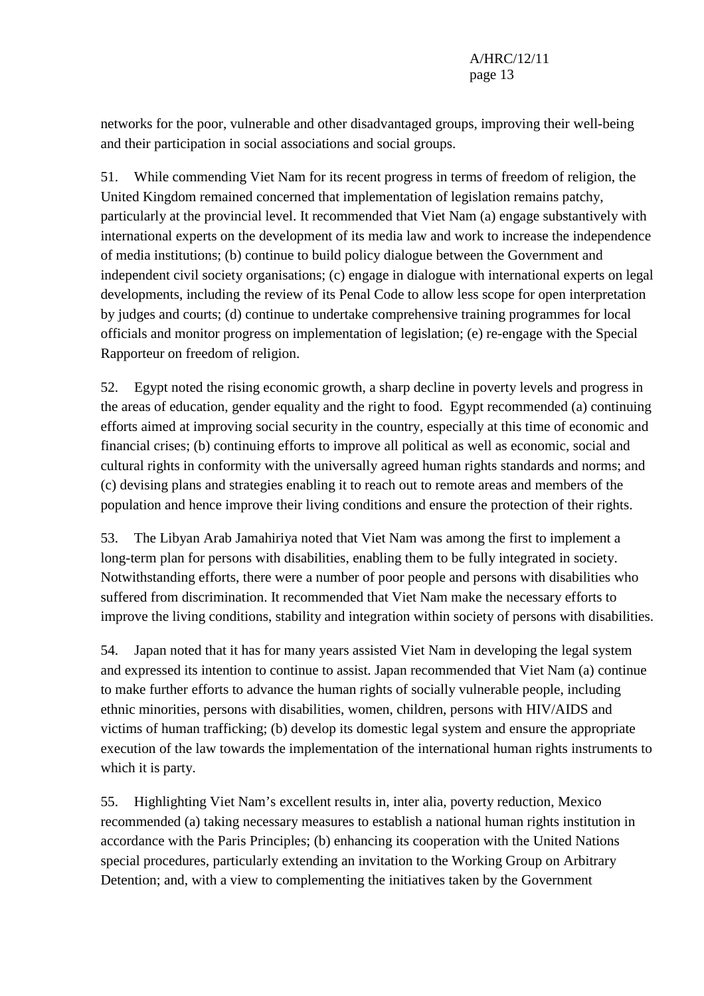networks for the poor, vulnerable and other disadvantaged groups, improving their well-being and their participation in social associations and social groups.

51. While commending Viet Nam for its recent progress in terms of freedom of religion, the United Kingdom remained concerned that implementation of legislation remains patchy, particularly at the provincial level. It recommended that Viet Nam (a) engage substantively with international experts on the development of its media law and work to increase the independence of media institutions; (b) continue to build policy dialogue between the Government and independent civil society organisations; (c) engage in dialogue with international experts on legal developments, including the review of its Penal Code to allow less scope for open interpretation by judges and courts; (d) continue to undertake comprehensive training programmes for local officials and monitor progress on implementation of legislation; (e) re-engage with the Special Rapporteur on freedom of religion.

52. Egypt noted the rising economic growth, a sharp decline in poverty levels and progress in the areas of education, gender equality and the right to food. Egypt recommended (a) continuing efforts aimed at improving social security in the country, especially at this time of economic and financial crises; (b) continuing efforts to improve all political as well as economic, social and cultural rights in conformity with the universally agreed human rights standards and norms; and (c) devising plans and strategies enabling it to reach out to remote areas and members of the population and hence improve their living conditions and ensure the protection of their rights.

53. The Libyan Arab Jamahiriya noted that Viet Nam was among the first to implement a long-term plan for persons with disabilities, enabling them to be fully integrated in society. Notwithstanding efforts, there were a number of poor people and persons with disabilities who suffered from discrimination. It recommended that Viet Nam make the necessary efforts to improve the living conditions, stability and integration within society of persons with disabilities.

54. Japan noted that it has for many years assisted Viet Nam in developing the legal system and expressed its intention to continue to assist. Japan recommended that Viet Nam (a) continue to make further efforts to advance the human rights of socially vulnerable people, including ethnic minorities, persons with disabilities, women, children, persons with HIV/AIDS and victims of human trafficking; (b) develop its domestic legal system and ensure the appropriate execution of the law towards the implementation of the international human rights instruments to which it is party.

55. Highlighting Viet Nam's excellent results in, inter alia, poverty reduction, Mexico recommended (a) taking necessary measures to establish a national human rights institution in accordance with the Paris Principles; (b) enhancing its cooperation with the United Nations special procedures, particularly extending an invitation to the Working Group on Arbitrary Detention; and, with a view to complementing the initiatives taken by the Government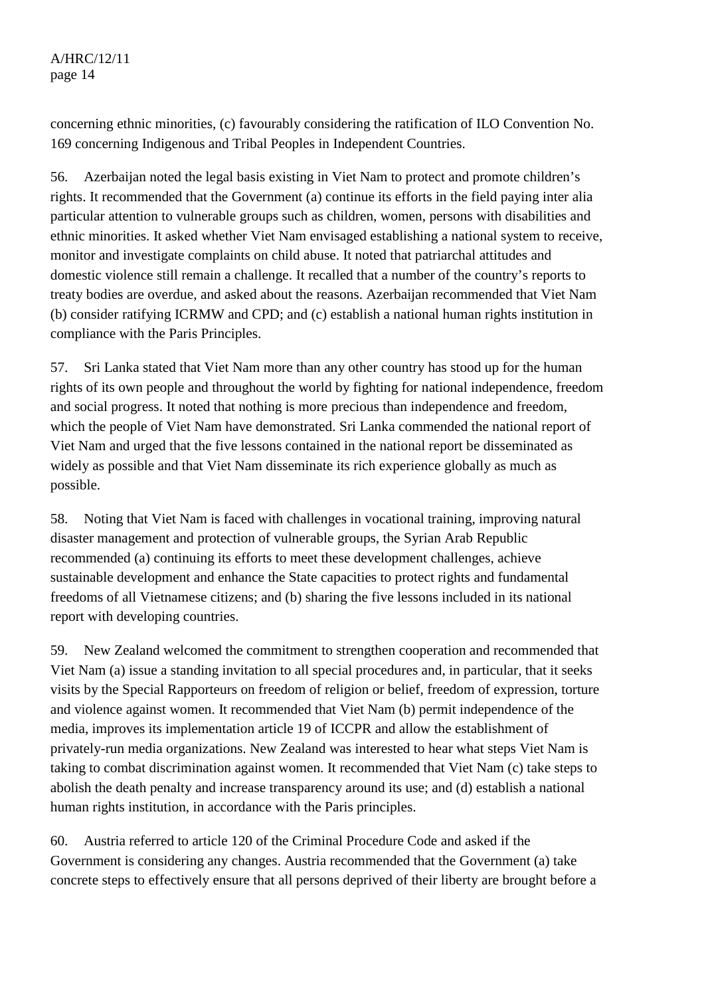A/HRC/12/11 page 14

concerning ethnic minorities, (c) favourably considering the ratification of ILO Convention No. 169 concerning Indigenous and Tribal Peoples in Independent Countries.

56. Azerbaijan noted the legal basis existing in Viet Nam to protect and promote children's rights. It recommended that the Government (a) continue its efforts in the field paying inter alia particular attention to vulnerable groups such as children, women, persons with disabilities and ethnic minorities. It asked whether Viet Nam envisaged establishing a national system to receive, monitor and investigate complaints on child abuse. It noted that patriarchal attitudes and domestic violence still remain a challenge. It recalled that a number of the country's reports to treaty bodies are overdue, and asked about the reasons. Azerbaijan recommended that Viet Nam (b) consider ratifying ICRMW and CPD; and (c) establish a national human rights institution in compliance with the Paris Principles.

57. Sri Lanka stated that Viet Nam more than any other country has stood up for the human rights of its own people and throughout the world by fighting for national independence, freedom and social progress. It noted that nothing is more precious than independence and freedom, which the people of Viet Nam have demonstrated. Sri Lanka commended the national report of Viet Nam and urged that the five lessons contained in the national report be disseminated as widely as possible and that Viet Nam disseminate its rich experience globally as much as possible.

58. Noting that Viet Nam is faced with challenges in vocational training, improving natural disaster management and protection of vulnerable groups, the Syrian Arab Republic recommended (a) continuing its efforts to meet these development challenges, achieve sustainable development and enhance the State capacities to protect rights and fundamental freedoms of all Vietnamese citizens; and (b) sharing the five lessons included in its national report with developing countries.

59. New Zealand welcomed the commitment to strengthen cooperation and recommended that Viet Nam (a) issue a standing invitation to all special procedures and, in particular, that it seeks visits by the Special Rapporteurs on freedom of religion or belief, freedom of expression, torture and violence against women. It recommended that Viet Nam (b) permit independence of the media, improves its implementation article 19 of ICCPR and allow the establishment of privately-run media organizations. New Zealand was interested to hear what steps Viet Nam is taking to combat discrimination against women. It recommended that Viet Nam (c) take steps to abolish the death penalty and increase transparency around its use; and (d) establish a national human rights institution, in accordance with the Paris principles.

60. Austria referred to article 120 of the Criminal Procedure Code and asked if the Government is considering any changes. Austria recommended that the Government (a) take concrete steps to effectively ensure that all persons deprived of their liberty are brought before a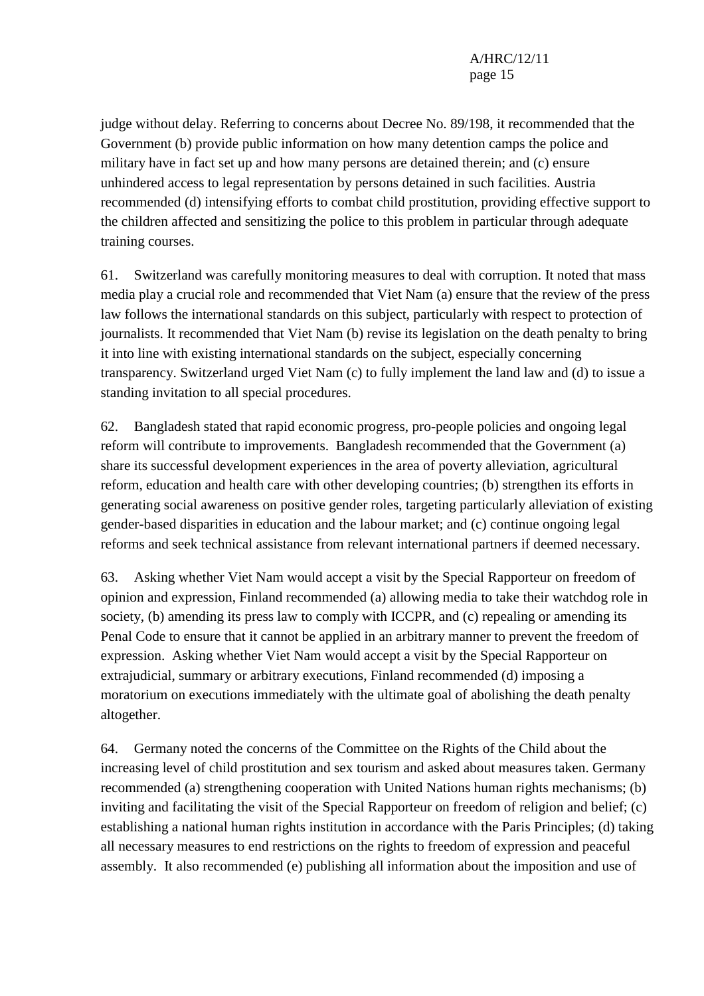## A/HRC/12/11 page 15

judge without delay. Referring to concerns about Decree No. 89/198, it recommended that the Government (b) provide public information on how many detention camps the police and military have in fact set up and how many persons are detained therein; and (c) ensure unhindered access to legal representation by persons detained in such facilities. Austria recommended (d) intensifying efforts to combat child prostitution, providing effective support to the children affected and sensitizing the police to this problem in particular through adequate training courses.

61. Switzerland was carefully monitoring measures to deal with corruption. It noted that mass media play a crucial role and recommended that Viet Nam (a) ensure that the review of the press law follows the international standards on this subject, particularly with respect to protection of journalists. It recommended that Viet Nam (b) revise its legislation on the death penalty to bring it into line with existing international standards on the subject, especially concerning transparency. Switzerland urged Viet Nam (c) to fully implement the land law and (d) to issue a standing invitation to all special procedures.

62. Bangladesh stated that rapid economic progress, pro-people policies and ongoing legal reform will contribute to improvements. Bangladesh recommended that the Government (a) share its successful development experiences in the area of poverty alleviation, agricultural reform, education and health care with other developing countries; (b) strengthen its efforts in generating social awareness on positive gender roles, targeting particularly alleviation of existing gender-based disparities in education and the labour market; and (c) continue ongoing legal reforms and seek technical assistance from relevant international partners if deemed necessary.

63. Asking whether Viet Nam would accept a visit by the Special Rapporteur on freedom of opinion and expression, Finland recommended (a) allowing media to take their watchdog role in society, (b) amending its press law to comply with ICCPR, and (c) repealing or amending its Penal Code to ensure that it cannot be applied in an arbitrary manner to prevent the freedom of expression. Asking whether Viet Nam would accept a visit by the Special Rapporteur on extrajudicial, summary or arbitrary executions, Finland recommended (d) imposing a moratorium on executions immediately with the ultimate goal of abolishing the death penalty altogether.

64. Germany noted the concerns of the Committee on the Rights of the Child about the increasing level of child prostitution and sex tourism and asked about measures taken. Germany recommended (a) strengthening cooperation with United Nations human rights mechanisms; (b) inviting and facilitating the visit of the Special Rapporteur on freedom of religion and belief; (c) establishing a national human rights institution in accordance with the Paris Principles; (d) taking all necessary measures to end restrictions on the rights to freedom of expression and peaceful assembly. It also recommended (e) publishing all information about the imposition and use of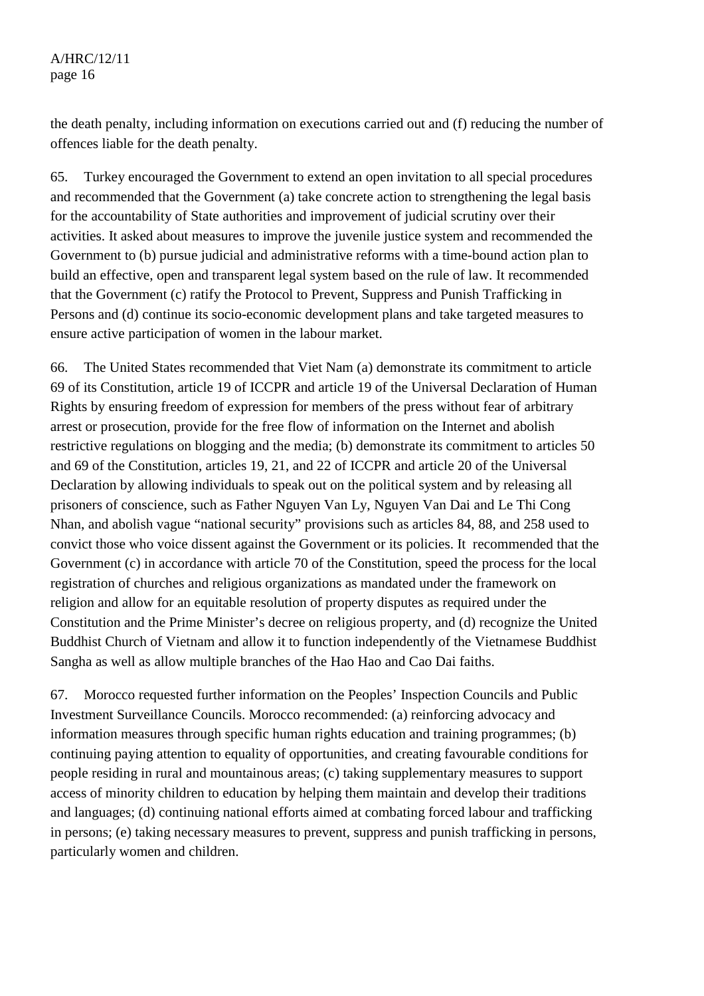the death penalty, including information on executions carried out and (f) reducing the number of offences liable for the death penalty.

65. Turkey encouraged the Government to extend an open invitation to all special procedures and recommended that the Government (a) take concrete action to strengthening the legal basis for the accountability of State authorities and improvement of judicial scrutiny over their activities. It asked about measures to improve the juvenile justice system and recommended the Government to (b) pursue judicial and administrative reforms with a time-bound action plan to build an effective, open and transparent legal system based on the rule of law. It recommended that the Government (c) ratify the Protocol to Prevent, Suppress and Punish Trafficking in Persons and (d) continue its socio-economic development plans and take targeted measures to ensure active participation of women in the labour market.

66. The United States recommended that Viet Nam (a) demonstrate its commitment to article 69 of its Constitution, article 19 of ICCPR and article 19 of the Universal Declaration of Human Rights by ensuring freedom of expression for members of the press without fear of arbitrary arrest or prosecution, provide for the free flow of information on the Internet and abolish restrictive regulations on blogging and the media; (b) demonstrate its commitment to articles 50 and 69 of the Constitution, articles 19, 21, and 22 of ICCPR and article 20 of the Universal Declaration by allowing individuals to speak out on the political system and by releasing all prisoners of conscience, such as Father Nguyen Van Ly, Nguyen Van Dai and Le Thi Cong Nhan, and abolish vague "national security" provisions such as articles 84, 88, and 258 used to convict those who voice dissent against the Government or its policies. It recommended that the Government (c) in accordance with article 70 of the Constitution, speed the process for the local registration of churches and religious organizations as mandated under the framework on religion and allow for an equitable resolution of property disputes as required under the Constitution and the Prime Minister's decree on religious property, and (d) recognize the United Buddhist Church of Vietnam and allow it to function independently of the Vietnamese Buddhist Sangha as well as allow multiple branches of the Hao Hao and Cao Dai faiths.

67. Morocco requested further information on the Peoples' Inspection Councils and Public Investment Surveillance Councils. Morocco recommended: (a) reinforcing advocacy and information measures through specific human rights education and training programmes; (b) continuing paying attention to equality of opportunities, and creating favourable conditions for people residing in rural and mountainous areas; (c) taking supplementary measures to support access of minority children to education by helping them maintain and develop their traditions and languages; (d) continuing national efforts aimed at combating forced labour and trafficking in persons; (e) taking necessary measures to prevent, suppress and punish trafficking in persons, particularly women and children.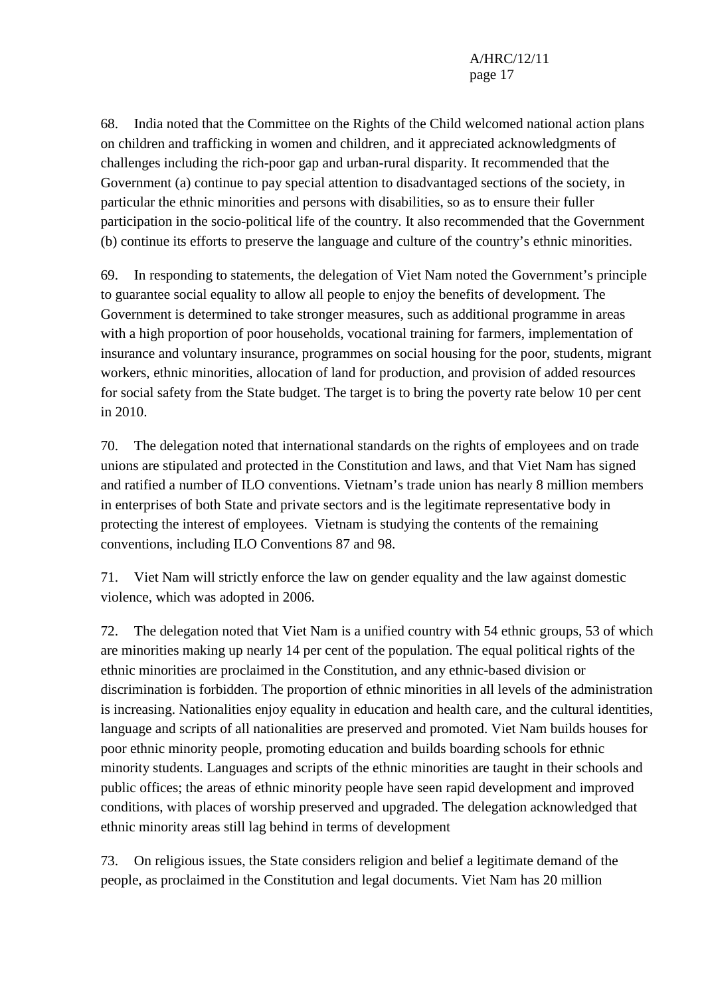68. India noted that the Committee on the Rights of the Child welcomed national action plans on children and trafficking in women and children, and it appreciated acknowledgments of challenges including the rich-poor gap and urban-rural disparity. It recommended that the Government (a) continue to pay special attention to disadvantaged sections of the society, in particular the ethnic minorities and persons with disabilities, so as to ensure their fuller participation in the socio-political life of the country. It also recommended that the Government (b) continue its efforts to preserve the language and culture of the country's ethnic minorities.

69. In responding to statements, the delegation of Viet Nam noted the Government's principle to guarantee social equality to allow all people to enjoy the benefits of development. The Government is determined to take stronger measures, such as additional programme in areas with a high proportion of poor households, vocational training for farmers, implementation of insurance and voluntary insurance, programmes on social housing for the poor, students, migrant workers, ethnic minorities, allocation of land for production, and provision of added resources for social safety from the State budget. The target is to bring the poverty rate below 10 per cent in 2010.

70. The delegation noted that international standards on the rights of employees and on trade unions are stipulated and protected in the Constitution and laws, and that Viet Nam has signed and ratified a number of ILO conventions. Vietnam's trade union has nearly 8 million members in enterprises of both State and private sectors and is the legitimate representative body in protecting the interest of employees. Vietnam is studying the contents of the remaining conventions, including ILO Conventions 87 and 98.

71. Viet Nam will strictly enforce the law on gender equality and the law against domestic violence, which was adopted in 2006.

72. The delegation noted that Viet Nam is a unified country with 54 ethnic groups, 53 of which are minorities making up nearly 14 per cent of the population. The equal political rights of the ethnic minorities are proclaimed in the Constitution, and any ethnic-based division or discrimination is forbidden. The proportion of ethnic minorities in all levels of the administration is increasing. Nationalities enjoy equality in education and health care, and the cultural identities, language and scripts of all nationalities are preserved and promoted. Viet Nam builds houses for poor ethnic minority people, promoting education and builds boarding schools for ethnic minority students. Languages and scripts of the ethnic minorities are taught in their schools and public offices; the areas of ethnic minority people have seen rapid development and improved conditions, with places of worship preserved and upgraded. The delegation acknowledged that ethnic minority areas still lag behind in terms of development

73. On religious issues, the State considers religion and belief a legitimate demand of the people, as proclaimed in the Constitution and legal documents. Viet Nam has 20 million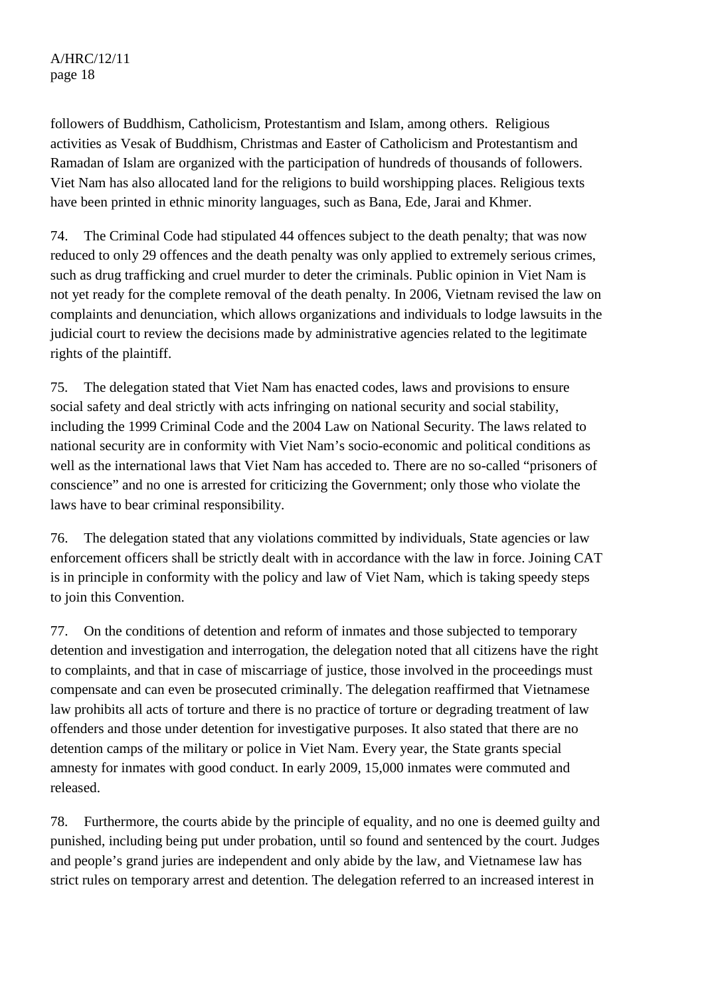followers of Buddhism, Catholicism, Protestantism and Islam, among others. Religious activities as Vesak of Buddhism, Christmas and Easter of Catholicism and Protestantism and Ramadan of Islam are organized with the participation of hundreds of thousands of followers. Viet Nam has also allocated land for the religions to build worshipping places. Religious texts have been printed in ethnic minority languages, such as Bana, Ede, Jarai and Khmer.

74. The Criminal Code had stipulated 44 offences subject to the death penalty; that was now reduced to only 29 offences and the death penalty was only applied to extremely serious crimes, such as drug trafficking and cruel murder to deter the criminals. Public opinion in Viet Nam is not yet ready for the complete removal of the death penalty. In 2006, Vietnam revised the law on complaints and denunciation, which allows organizations and individuals to lodge lawsuits in the judicial court to review the decisions made by administrative agencies related to the legitimate rights of the plaintiff.

75. The delegation stated that Viet Nam has enacted codes, laws and provisions to ensure social safety and deal strictly with acts infringing on national security and social stability, including the 1999 Criminal Code and the 2004 Law on National Security. The laws related to national security are in conformity with Viet Nam's socio-economic and political conditions as well as the international laws that Viet Nam has acceded to. There are no so-called "prisoners of conscience" and no one is arrested for criticizing the Government; only those who violate the laws have to bear criminal responsibility.

76. The delegation stated that any violations committed by individuals, State agencies or law enforcement officers shall be strictly dealt with in accordance with the law in force. Joining CAT is in principle in conformity with the policy and law of Viet Nam, which is taking speedy steps to join this Convention.

77. On the conditions of detention and reform of inmates and those subjected to temporary detention and investigation and interrogation, the delegation noted that all citizens have the right to complaints, and that in case of miscarriage of justice, those involved in the proceedings must compensate and can even be prosecuted criminally. The delegation reaffirmed that Vietnamese law prohibits all acts of torture and there is no practice of torture or degrading treatment of law offenders and those under detention for investigative purposes. It also stated that there are no detention camps of the military or police in Viet Nam. Every year, the State grants special amnesty for inmates with good conduct. In early 2009, 15,000 inmates were commuted and released.

78. Furthermore, the courts abide by the principle of equality, and no one is deemed guilty and punished, including being put under probation, until so found and sentenced by the court. Judges and people's grand juries are independent and only abide by the law, and Vietnamese law has strict rules on temporary arrest and detention. The delegation referred to an increased interest in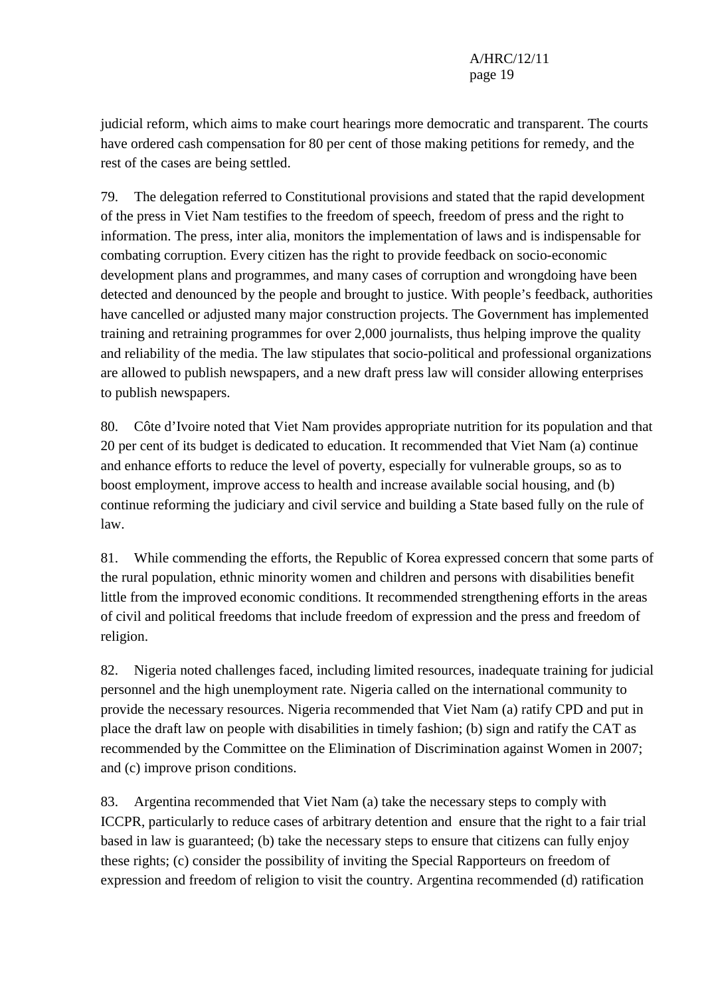judicial reform, which aims to make court hearings more democratic and transparent. The courts have ordered cash compensation for 80 per cent of those making petitions for remedy, and the rest of the cases are being settled.

79. The delegation referred to Constitutional provisions and stated that the rapid development of the press in Viet Nam testifies to the freedom of speech, freedom of press and the right to information. The press, inter alia, monitors the implementation of laws and is indispensable for combating corruption. Every citizen has the right to provide feedback on socio-economic development plans and programmes, and many cases of corruption and wrongdoing have been detected and denounced by the people and brought to justice. With people's feedback, authorities have cancelled or adjusted many major construction projects. The Government has implemented training and retraining programmes for over 2,000 journalists, thus helping improve the quality and reliability of the media. The law stipulates that socio-political and professional organizations are allowed to publish newspapers, and a new draft press law will consider allowing enterprises to publish newspapers.

80. Côte d'Ivoire noted that Viet Nam provides appropriate nutrition for its population and that 20 per cent of its budget is dedicated to education. It recommended that Viet Nam (a) continue and enhance efforts to reduce the level of poverty, especially for vulnerable groups, so as to boost employment, improve access to health and increase available social housing, and (b) continue reforming the judiciary and civil service and building a State based fully on the rule of law.

81. While commending the efforts, the Republic of Korea expressed concern that some parts of the rural population, ethnic minority women and children and persons with disabilities benefit little from the improved economic conditions. It recommended strengthening efforts in the areas of civil and political freedoms that include freedom of expression and the press and freedom of religion.

82. Nigeria noted challenges faced, including limited resources, inadequate training for judicial personnel and the high unemployment rate. Nigeria called on the international community to provide the necessary resources. Nigeria recommended that Viet Nam (a) ratify CPD and put in place the draft law on people with disabilities in timely fashion; (b) sign and ratify the CAT as recommended by the Committee on the Elimination of Discrimination against Women in 2007; and (c) improve prison conditions.

83. Argentina recommended that Viet Nam (a) take the necessary steps to comply with ICCPR, particularly to reduce cases of arbitrary detention and ensure that the right to a fair trial based in law is guaranteed; (b) take the necessary steps to ensure that citizens can fully enjoy these rights; (c) consider the possibility of inviting the Special Rapporteurs on freedom of expression and freedom of religion to visit the country. Argentina recommended (d) ratification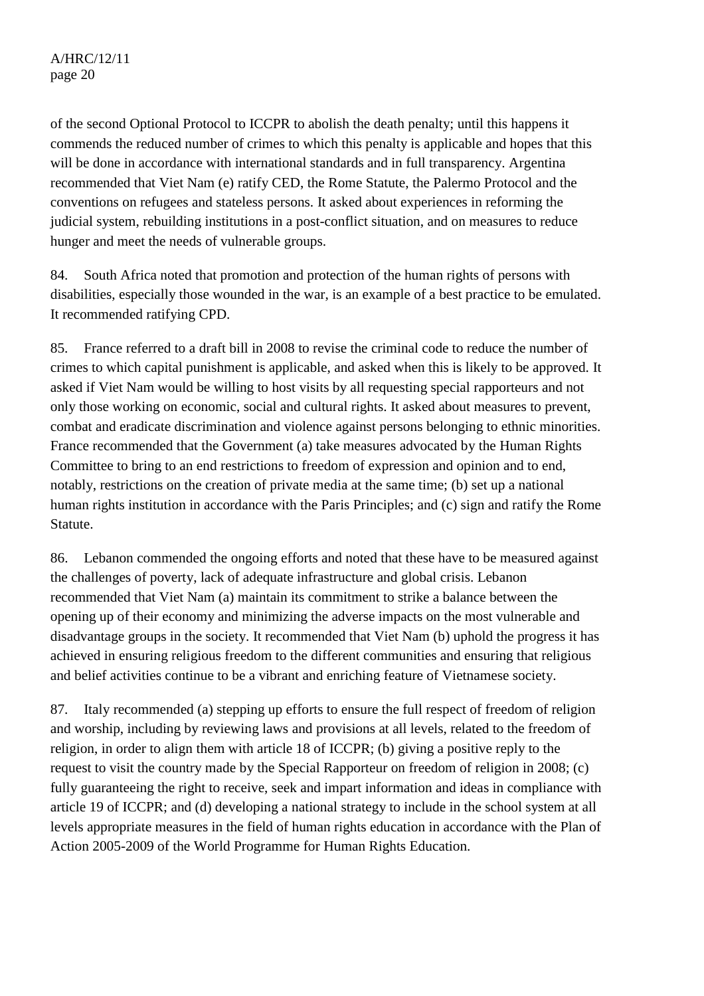of the second Optional Protocol to ICCPR to abolish the death penalty; until this happens it commends the reduced number of crimes to which this penalty is applicable and hopes that this will be done in accordance with international standards and in full transparency. Argentina recommended that Viet Nam (e) ratify CED, the Rome Statute, the Palermo Protocol and the conventions on refugees and stateless persons. It asked about experiences in reforming the judicial system, rebuilding institutions in a post-conflict situation, and on measures to reduce hunger and meet the needs of vulnerable groups.

84. South Africa noted that promotion and protection of the human rights of persons with disabilities, especially those wounded in the war, is an example of a best practice to be emulated. It recommended ratifying CPD.

85. France referred to a draft bill in 2008 to revise the criminal code to reduce the number of crimes to which capital punishment is applicable, and asked when this is likely to be approved. It asked if Viet Nam would be willing to host visits by all requesting special rapporteurs and not only those working on economic, social and cultural rights. It asked about measures to prevent, combat and eradicate discrimination and violence against persons belonging to ethnic minorities. France recommended that the Government (a) take measures advocated by the Human Rights Committee to bring to an end restrictions to freedom of expression and opinion and to end, notably, restrictions on the creation of private media at the same time; (b) set up a national human rights institution in accordance with the Paris Principles; and (c) sign and ratify the Rome Statute.

86. Lebanon commended the ongoing efforts and noted that these have to be measured against the challenges of poverty, lack of adequate infrastructure and global crisis. Lebanon recommended that Viet Nam (a) maintain its commitment to strike a balance between the opening up of their economy and minimizing the adverse impacts on the most vulnerable and disadvantage groups in the society. It recommended that Viet Nam (b) uphold the progress it has achieved in ensuring religious freedom to the different communities and ensuring that religious and belief activities continue to be a vibrant and enriching feature of Vietnamese society.

87. Italy recommended (a) stepping up efforts to ensure the full respect of freedom of religion and worship, including by reviewing laws and provisions at all levels, related to the freedom of religion, in order to align them with article 18 of ICCPR; (b) giving a positive reply to the request to visit the country made by the Special Rapporteur on freedom of religion in 2008; (c) fully guaranteeing the right to receive, seek and impart information and ideas in compliance with article 19 of ICCPR; and (d) developing a national strategy to include in the school system at all levels appropriate measures in the field of human rights education in accordance with the Plan of Action 2005-2009 of the World Programme for Human Rights Education.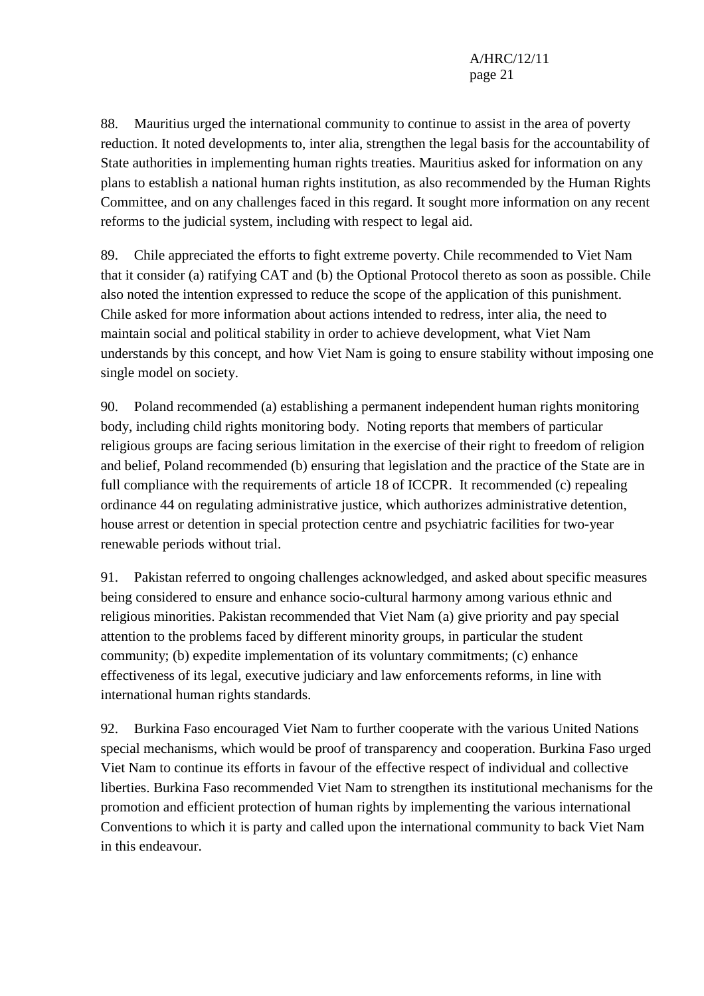88. Mauritius urged the international community to continue to assist in the area of poverty reduction. It noted developments to, inter alia, strengthen the legal basis for the accountability of State authorities in implementing human rights treaties. Mauritius asked for information on any plans to establish a national human rights institution, as also recommended by the Human Rights Committee, and on any challenges faced in this regard. It sought more information on any recent reforms to the judicial system, including with respect to legal aid.

89. Chile appreciated the efforts to fight extreme poverty. Chile recommended to Viet Nam that it consider (a) ratifying CAT and (b) the Optional Protocol thereto as soon as possible. Chile also noted the intention expressed to reduce the scope of the application of this punishment. Chile asked for more information about actions intended to redress, inter alia, the need to maintain social and political stability in order to achieve development, what Viet Nam understands by this concept, and how Viet Nam is going to ensure stability without imposing one single model on society.

90. Poland recommended (a) establishing a permanent independent human rights monitoring body, including child rights monitoring body. Noting reports that members of particular religious groups are facing serious limitation in the exercise of their right to freedom of religion and belief, Poland recommended (b) ensuring that legislation and the practice of the State are in full compliance with the requirements of article 18 of ICCPR. It recommended (c) repealing ordinance 44 on regulating administrative justice, which authorizes administrative detention, house arrest or detention in special protection centre and psychiatric facilities for two-year renewable periods without trial.

91. Pakistan referred to ongoing challenges acknowledged, and asked about specific measures being considered to ensure and enhance socio-cultural harmony among various ethnic and religious minorities. Pakistan recommended that Viet Nam (a) give priority and pay special attention to the problems faced by different minority groups, in particular the student community; (b) expedite implementation of its voluntary commitments; (c) enhance effectiveness of its legal, executive judiciary and law enforcements reforms, in line with international human rights standards.

92. Burkina Faso encouraged Viet Nam to further cooperate with the various United Nations special mechanisms, which would be proof of transparency and cooperation. Burkina Faso urged Viet Nam to continue its efforts in favour of the effective respect of individual and collective liberties. Burkina Faso recommended Viet Nam to strengthen its institutional mechanisms for the promotion and efficient protection of human rights by implementing the various international Conventions to which it is party and called upon the international community to back Viet Nam in this endeavour.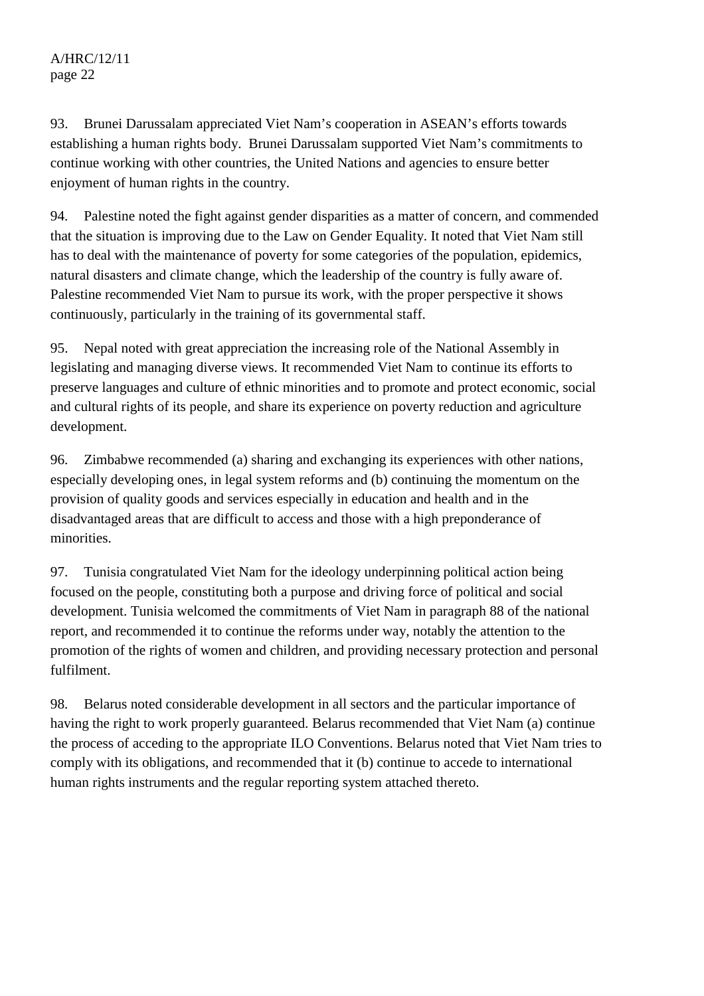# A/HRC/12/11 page 22

93. Brunei Darussalam appreciated Viet Nam's cooperation in ASEAN's efforts towards establishing a human rights body. Brunei Darussalam supported Viet Nam's commitments to continue working with other countries, the United Nations and agencies to ensure better enjoyment of human rights in the country.

94. Palestine noted the fight against gender disparities as a matter of concern, and commended that the situation is improving due to the Law on Gender Equality. It noted that Viet Nam still has to deal with the maintenance of poverty for some categories of the population, epidemics, natural disasters and climate change, which the leadership of the country is fully aware of. Palestine recommended Viet Nam to pursue its work, with the proper perspective it shows continuously, particularly in the training of its governmental staff.

95. Nepal noted with great appreciation the increasing role of the National Assembly in legislating and managing diverse views. It recommended Viet Nam to continue its efforts to preserve languages and culture of ethnic minorities and to promote and protect economic, social and cultural rights of its people, and share its experience on poverty reduction and agriculture development.

96. Zimbabwe recommended (a) sharing and exchanging its experiences with other nations, especially developing ones, in legal system reforms and (b) continuing the momentum on the provision of quality goods and services especially in education and health and in the disadvantaged areas that are difficult to access and those with a high preponderance of minorities.

97. Tunisia congratulated Viet Nam for the ideology underpinning political action being focused on the people, constituting both a purpose and driving force of political and social development. Tunisia welcomed the commitments of Viet Nam in paragraph 88 of the national report, and recommended it to continue the reforms under way, notably the attention to the promotion of the rights of women and children, and providing necessary protection and personal fulfilment.

98. Belarus noted considerable development in all sectors and the particular importance of having the right to work properly guaranteed. Belarus recommended that Viet Nam (a) continue the process of acceding to the appropriate ILO Conventions. Belarus noted that Viet Nam tries to comply with its obligations, and recommended that it (b) continue to accede to international human rights instruments and the regular reporting system attached thereto.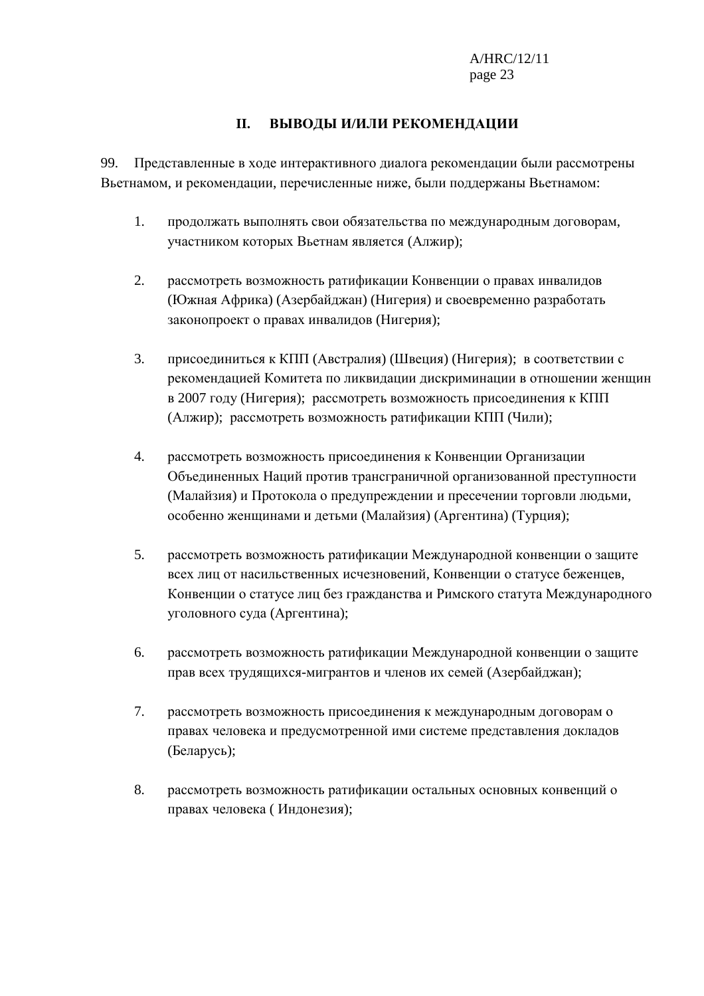## **II. ВЫВОДЫ И/ИЛИ РЕКОМЕНДАЦИИ**

99. Представленные в ходе интерактивного диалога рекомендации были рассмотрены Вьетнамом, и рекомендации, перечисленные ниже, были поддержаны Вьетнамом:

- 1. продолжать выполнять свои обязательства по международным договорам, участником которых Вьетнам является (Алжир);
- 2. рассмотреть возможность ратификации Конвенции о правах инвалидов (Южная Африка) (Азербайджан) (Нигерия) и своевременно разработать законопроект о правах инвалидов (Нигерия);
- 3. присоединиться к КПП (Австралия) (Швеция) (Нигерия); в соответствии с рекомендацией Комитета по ликвидации дискриминации в отношении женщин в 2007 году (Нигерия); рассмотреть возможность присоединения к КПП (Алжир); рассмотреть возможность ратификации КПП (Чили);
- 4. рассмотреть возможность присоединения к Конвенции Организации Объединенных Наций против трансграничной организованной преступности (Малайзия) и Протокола о предупреждении и пресечении торговли людьми, особенно женщинами и детьми (Малайзия) (Аргентина) (Турция);
- 5. рассмотреть возможность ратификации Международной конвенции о защите всех лиц от насильственных исчезновений, Конвенции о статусе беженцев, Конвенции о статусе лиц без гражданства и Римского статута Международного уголовного суда (Аргентина);
- 6. рассмотреть возможность ратификации Международной конвенции о защите прав всех трудящихся-мигрантов и членов их семей (Азербайджан);
- 7. рассмотреть возможность присоединения к международным договорам о правах человека и предусмотренной ими системе представления докладов (Беларусь);
- 8. рассмотреть возможность ратификации остальных основных конвенций о правах человека ( Индонезия);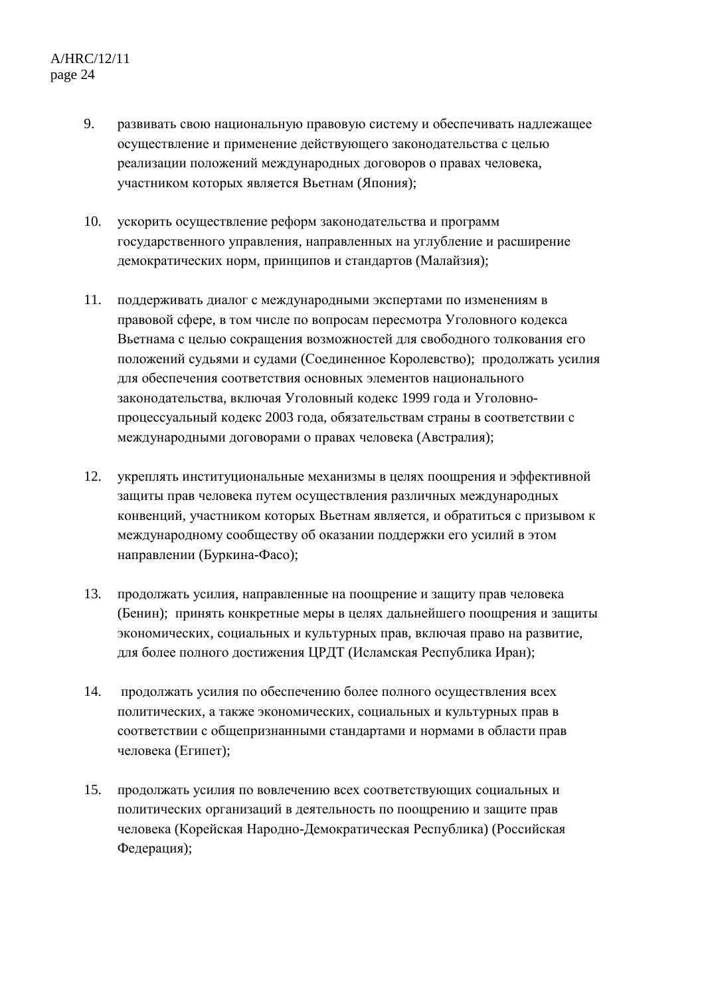- 9. развивать свою национальную правовую систему и обеспечивать надлежащее осуществление и применение действующего законодательства с целью реализации положений международных договоров о правах человека, участником которых является Вьетнам (Япония);
- 10. ускорить осуществление реформ законодательства и программ государственного управления, направленных на углубление и расширение демократических норм, принципов и стандартов (Малайзия);
- 11. поддерживать диалог с международными экспертами по изменениям в правовой сфере, в том числе по вопросам пересмотра Уголовного кодекса Вьетнама с целью сокращения возможностей для свободного толкования его положений судьями и судами (Соединенное Королевство); продолжать усилия для обеспечения соответствия основных элементов национального законодательства, включая Уголовный кодекс 1999 года и Уголовнопроцессуальный кодекс 2003 года, обязательствам страны в соответствии с международными договорами о правах человека (Австралия);
- 12. укреплять институциональные механизмы в целях поощрения и эффективной защиты прав человека путем осуществления различных международных конвенций, участником которых Вьетнам является, и обратиться с призывом к международному сообществу об оказании поддержки его усилий в этом направлении (Буркина-Фасо);
- 13. продолжать усилия, направленные на поощрение и защиту прав человека (Бенин); принять конкретные меры в целях дальнейшего поощрения и защиты экономических, социальных и культурных прав, включая право на развитие, для более полного достижения ЦРДТ (Исламская Республика Иран);
- 14. продолжать усилия по обеспечению более полного осуществления всех политических, а также экономических, социальных и культурных прав в соответствии с общепризнанными стандартами и нормами в области прав человека (Египет);
- 15. продолжать усилия по вовлечению всех соответствующих социальных и политических организаций в деятельность по поощрению и защите прав человека (Корейская Народно-Демократическая Республика) (Российская Федерация);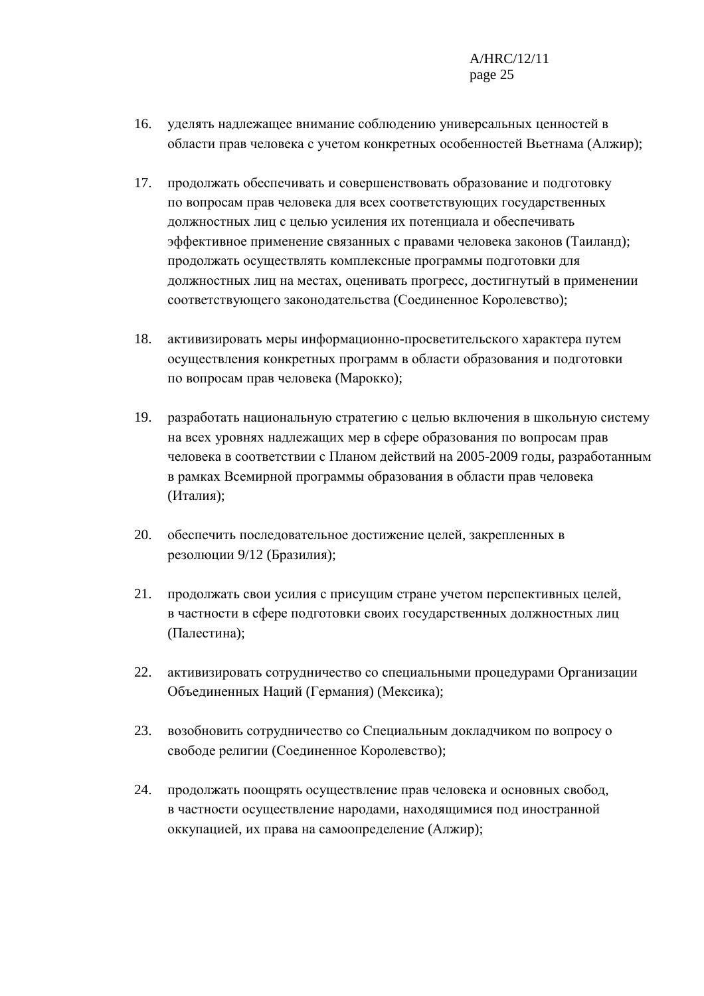- 16. уделять надлежащее внимание соблюдению универсальных ценностей в области прав человека с учетом конкретных особенностей Вьетнама (Алжир);
- 17. продолжать обеспечивать и совершенствовать образование и подготовку по вопросам прав человека для всех соответствующих государственных должностных лиц с целью усиления их потенциала и обеспечивать эффективное применение связанных с правами человека законов (Таиланд); продолжать осуществлять комплексные программы подготовки для должностных лиц на местах, оценивать прогресс, достигнутый в применении соответствующего законодательства (Соединенное Королевство);
- 18. активизировать меры информационно-просветительского характера путем осуществления конкретных программ в области образования и подготовки по вопросам прав человека (Марокко);
- 19. разработать национальную стратегию с целью включения в школьную систему на всех уровнях надлежащих мер в сфере образования по вопросам прав человека в соответствии с Планом действий на 2005-2009 годы, разработанным в рамках Всемирной программы образования в области прав человека (Италия);
- 20. обеспечить последовательное достижение целей, закрепленных в резолюции 9/12 (Бразилия);
- 21. продолжать свои усилия с присущим стране учетом перспективных целей, в частности в сфере подготовки своих государственных должностных лиц (Палестина);
- 22. активизировать сотрудничество со специальными процедурами Организации Объединенных Наций (Германия) (Мексика);
- 23. возобновить сотрудничество со Специальным докладчиком по вопросу о свободе религии (Соединенное Королевство);
- 24. продолжать поощрять осуществление прав человека и основных свобод, в частности осуществление народами, находящимися под иностранной оккупацией, их права на самоопределение (Алжир);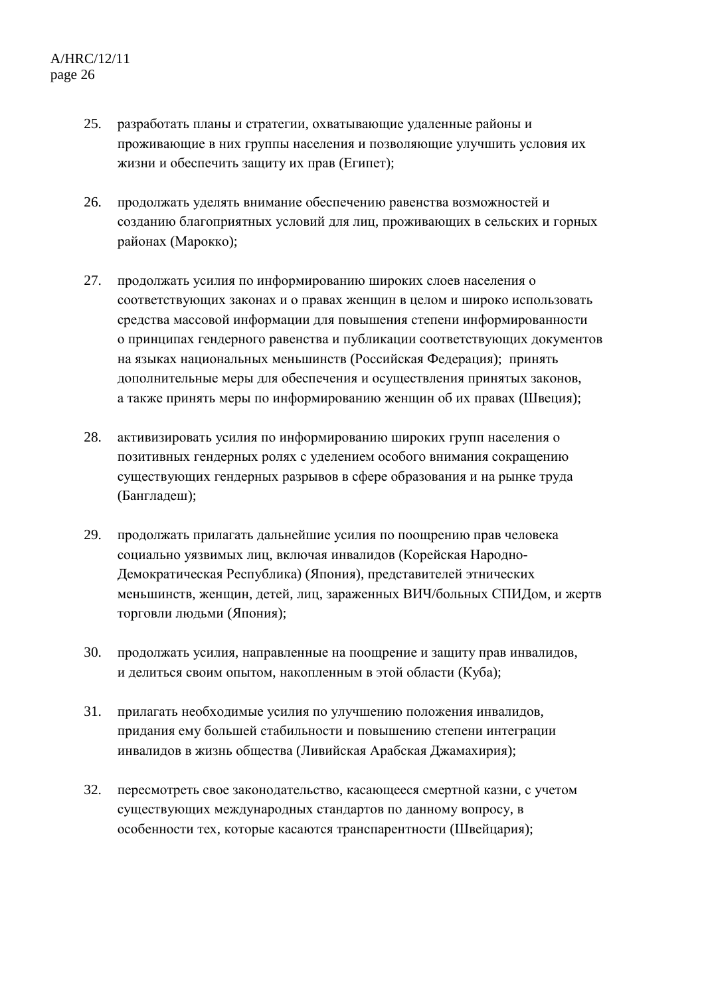- 25. разработать планы и стратегии, охватывающие удаленные районы и проживающие в них группы населения и позволяющие улучшить условия их жизни и обеспечить защиту их прав (Египет);
- 26. продолжать уделять внимание обеспечению равенства возможностей и созданию благоприятных условий для лиц, проживающих в сельских и горных районах (Марокко);
- 27. продолжать усилия по информированию широких слоев населения о соответствующих законах и о правах женщин в целом и широко использовать средства массовой информации для повышения степени информированности о принципах гендерного равенства и публикации соответствующих документов на языках национальных меньшинств (Российская Федерация); принять дополнительные меры для обеспечения и осуществления принятых законов, а также принять меры по информированию женщин об их правах (Швеция);
- 28. активизировать усилия по информированию широких групп населения о позитивных гендерных ролях с уделением особого внимания сокращению существующих гендерных разрывов в сфере образования и на рынке труда (Бангладеш);
- 29. продолжать прилагать дальнейшие усилия по поощрению прав человека социально уязвимых лиц, включая инвалидов (Корейская Народно-Демократическая Республика) (Япония), представителей этнических меньшинств, женщин, детей, лиц, зараженных ВИЧ/больных СПИДом, и жертв торговли людьми (Япония);
- 30. продолжать усилия, направленные на поощрение и защиту прав инвалидов, и делиться своим опытом, накопленным в этой области (Куба);
- 31. прилагать необходимые усилия по улучшению положения инвалидов, придания ему большей стабильности и повышению степени интеграции инвалидов в жизнь общества (Ливийская Арабская Джамахирия);
- 32. пересмотреть свое законодательство, касающееся смертной казни, с учетом существующих международных стандартов по данному вопросу, в особенности тех, которые касаются транспарентности (Швейцария);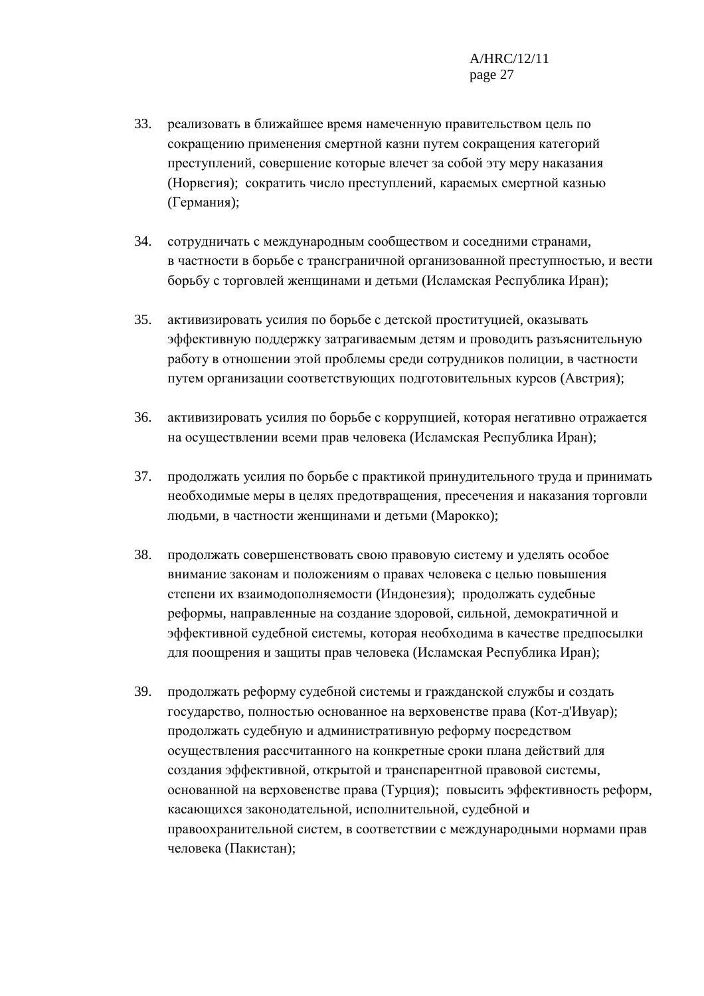- 33. реализовать в ближайшее время намеченную правительством цель по сокращению применения смертной казни путем сокращения категорий преступлений, совершение которые влечет за собой эту меру наказания (Норвегия); сократить число преступлений, караемых смертной казнью (Германия);
- 34. сотрудничать с международным сообществом и соседними странами, в частности в борьбе с трансграничной организованной преступностью, и вести борьбу с торговлей женщинами и детьми (Исламская Республика Иран);
- 35. активизировать усилия по борьбе с детской проституцией, оказывать эффективную поддержку затрагиваемым детям и проводить разъяснительную работу в отношении этой проблемы среди сотрудников полиции, в частности путем организации соответствующих подготовительных курсов (Австрия);
- 36. активизировать усилия по борьбе с коррупцией, которая негативно отражается на осуществлении всеми прав человека (Исламская Республика Иран);
- 37. продолжать усилия по борьбе с практикой принудительного труда и принимать необходимые меры в целях предотвращения, пресечения и наказания торговли людьми, в частности женщинами и детьми (Марокко);
- 38. продолжать совершенствовать свою правовую систему и уделять особое внимание законам и положениям о правах человека с целью повышения степени их взаимодополняемости (Индонезия); продолжать судебные реформы, направленные на создание здоровой, сильной, демократичной и эффективной судебной системы, которая необходима в качестве предпосылки для поощрения и защиты прав человека (Исламская Республика Иран);
- 39. продолжать реформу судебной системы и гражданской службы и создать государство, полностью основанное на верховенстве права (Кот-д'Ивуар); продолжать судебную и административную реформу посредством осуществления рассчитанного на конкретные сроки плана действий для создания эффективной, открытой и транспарентной правовой системы, основанной на верховенстве права (Турция); повысить эффективность реформ, касающихся законодательной, исполнительной, судебной и правоохранительной систем, в соответствии с международными нормами прав человека (Пакистан);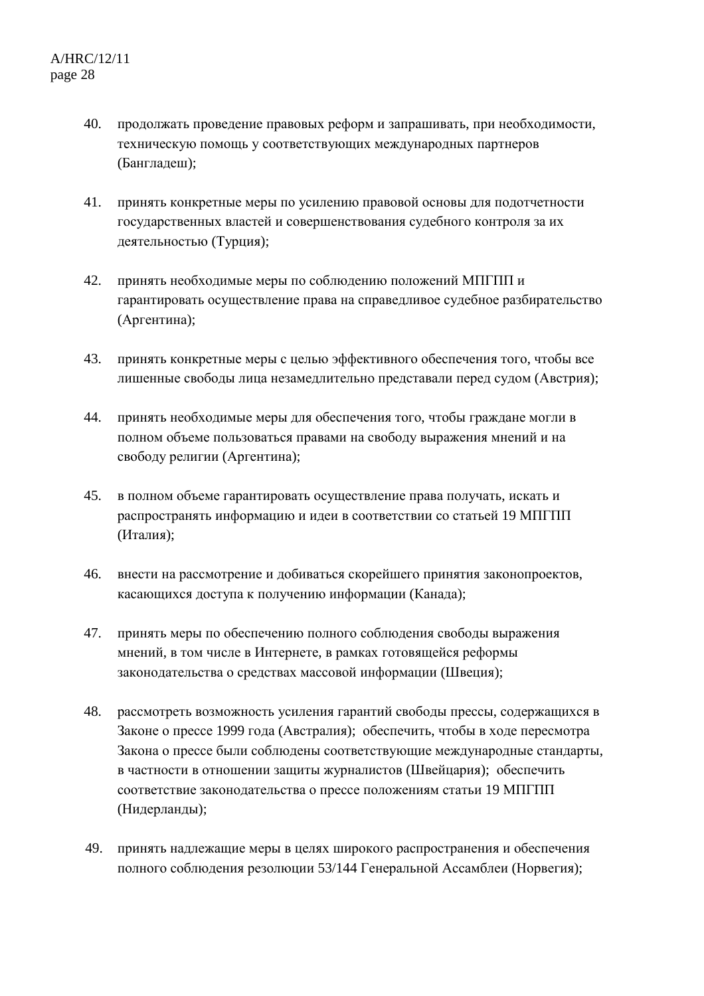- 40. продолжать проведение правовых реформ и запрашивать, при необходимости, техническую помощь у соответствующих международных партнеров (Бангладеш);
- 41. принять конкретные меры по усилению правовой основы для подотчетности государственных властей и совершенствования судебного контроля за их деятельностью (Турция);
- 42. принять необходимые меры по соблюдению положений МПГПП и гарантировать осуществление права на справедливое судебное разбирательство (Аргентина);
- 43. принять конкретные меры с целью эффективного обеспечения того, чтобы все лишенные свободы лица незамедлительно представали перед судом (Австрия);
- 44. принять необходимые меры для обеспечения того, чтобы граждане могли в полном объеме пользоваться правами на свободу выражения мнений и на свободу религии (Аргентина);
- 45. в полном объеме гарантировать осуществление права получать, искать и распространять информацию и идеи в соответствии со статьей 19 МПГПП (Италия);
- 46. внести на рассмотрение и добиваться скорейшего принятия законопроектов, касающихся доступа к получению информации (Канада);
- 47. принять меры по обеспечению полного соблюдения свободы выражения мнений, в том числе в Интернете, в рамках готовящейся реформы законодательства о средствах массовой информации (Швеция);
- 48. рассмотреть возможность усиления гарантий свободы прессы, содержащихся в Законе о прессе 1999 года (Австралия); обеспечить, чтобы в ходе пересмотра Закона о прессе были соблюдены соответствующие международные стандарты, в частности в отношении защиты журналистов (Швейцария); обеспечить соответствие законодательства о прессе положениям статьи 19 МПГПП (Нидерланды);
- 49. принять надлежащие меры в целях широкого распространения и обеспечения полного соблюдения резолюции 53/144 Генеральной Ассамблеи (Норвегия);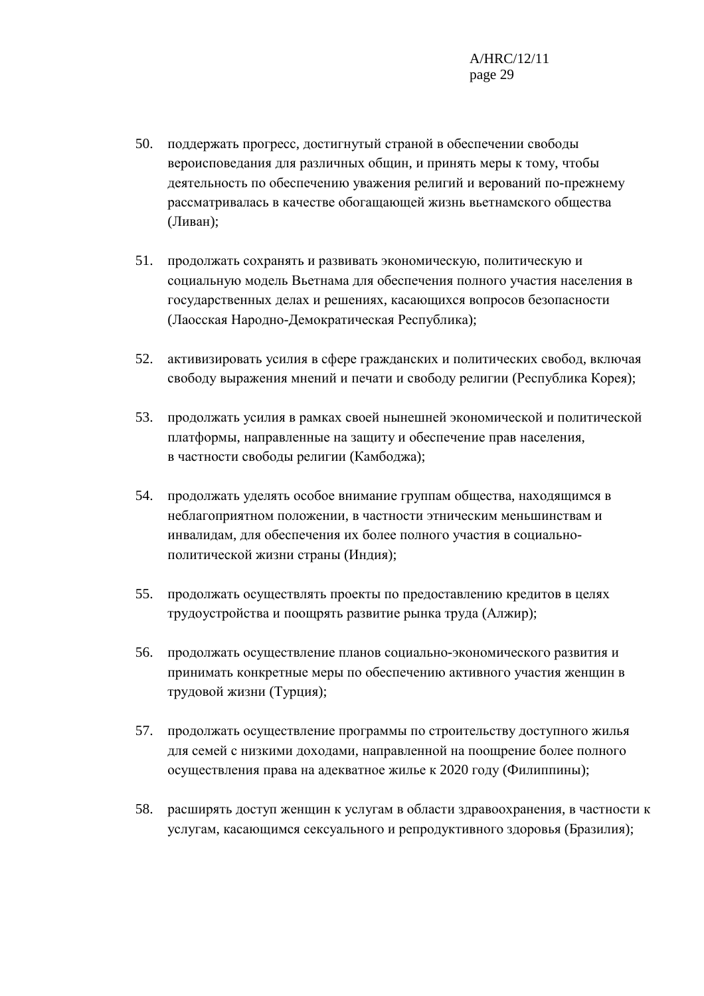- 50. поддержать прогресс, достигнутый страной в обеспечении свободы вероисповедания для различных общин, и принять меры к тому, чтобы деятельность по обеспечению уважения религий и верований по-прежнему рассматривалась в качестве обогащающей жизнь вьетнамского общества (Ливан);
- 51. продолжать сохранять и развивать экономическую, политическую и социальную модель Вьетнама для обеспечения полного участия населения в государственных делах и решениях, касающихся вопросов безопасности (Лаосская Народно-Демократическая Республика);
- 52. активизировать усилия в сфере гражданских и политических свобод, включая свободу выражения мнений и печати и свободу религии (Республика Корея);
- 53. продолжать усилия в рамках своей нынешней экономической и политической платформы, направленные на защиту и обеспечение прав населения, в частности свободы религии (Камбоджа);
- 54. продолжать уделять особое внимание группам общества, находящимся в неблагоприятном положении, в частности этническим меньшинствам и инвалидам, для обеспечения их более полного участия в социальнополитической жизни страны (Индия);
- 55. продолжать осуществлять проекты по предоставлению кредитов в целях трудоустройства и поощрять развитие рынка труда (Алжир);
- 56. продолжать осуществление планов социально-экономического развития и принимать конкретные меры по обеспечению активного участия женщин в трудовой жизни (Турция);
- 57. продолжать осуществление программы по строительству доступного жилья для семей с низкими доходами, направленной на поощрение более полного осуществления права на адекватное жилье к 2020 году (Филиппины);
- 58. расширять доступ женщин к услугам в области здравоохранения, в частности к услугам, касающимся сексуального и репродуктивного здоровья (Бразилия);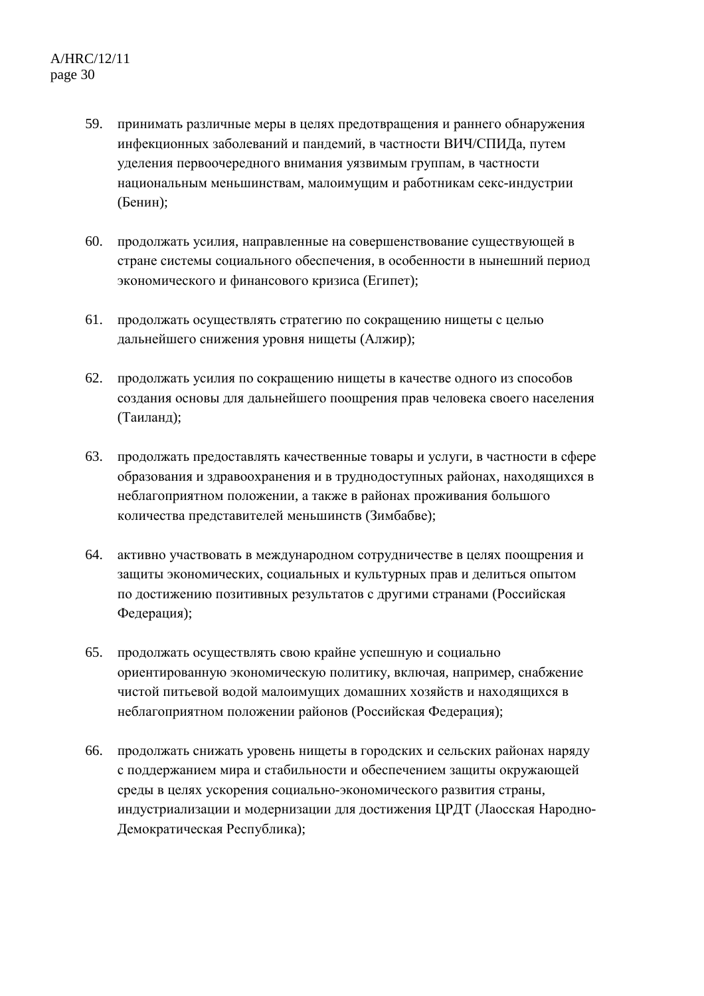- 59. принимать различные меры в целях предотвращения и раннего обнаружения инфекционных заболеваний и пандемий, в частности ВИЧ/СПИДа, путем уделения первоочередного внимания уязвимым группам, в частности национальным меньшинствам, малоимущим и работникам секс-индустрии (Бенин);
- 60. продолжать усилия, направленные на совершенствование существующей в стране системы социального обеспечения, в особенности в нынешний период экономического и финансового кризиса (Египет);
- 61. продолжать осуществлять стратегию по сокращению нищеты с целью дальнейшего снижения уровня нищеты (Алжир);
- 62. продолжать усилия по сокращению нищеты в качестве одного из способов создания основы для дальнейшего поощрения прав человека своего населения (Таиланд);
- 63. продолжать предоставлять качественные товары и услуги, в частности в сфере образования и здравоохранения и в труднодоступных районах, находящихся в неблагоприятном положении, а также в районах проживания большого количества представителей меньшинств (Зимбабве);
- 64. активно участвовать в международном сотрудничестве в целях поощрения и защиты экономических, социальных и культурных прав и делиться опытом по достижению позитивных результатов с другими странами (Российская Федерация);
- 65. продолжать осуществлять свою крайне успешную и социально ориентированную экономическую политику, включая, например, снабжение чистой питьевой водой малоимущих домашних хозяйств и находящихся в неблагоприятном положении районов (Российская Федерация);
- 66. продолжать снижать уровень нищеты в городских и сельских районах наряду с поддержанием мира и стабильности и обеспечением защиты окружающей среды в целях ускорения социально-экономического развития страны, индустриализации и модернизации для достижения ЦРДТ (Лаосская Народно-Демократическая Республика);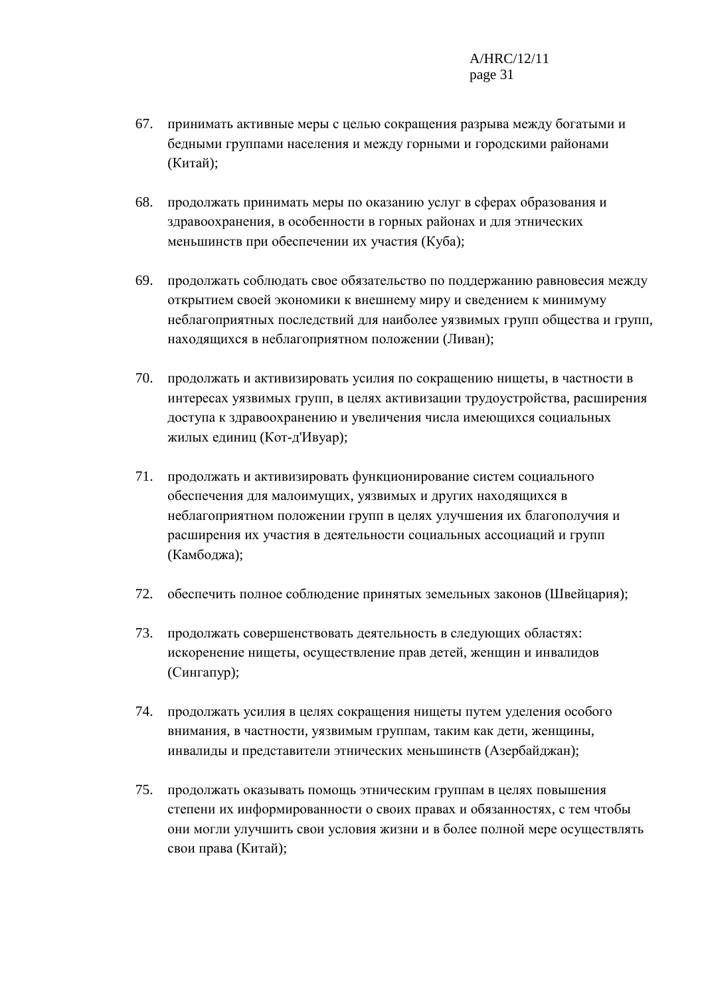- 67. принимать активные меры с целью сокращения разрыва между богатыми и бедными группами населения и между горными и городскими районами (Китай);
- 68. продолжать принимать меры по оказанию услуг в сферах образования и здравоохранения, в особенности в горных районах и для этнических меньшинств при обеспечении их участия (Куба);
- 69. продолжать соблюдать свое обязательство по поддержанию равновесия между открытием своей экономики к внешнему миру и сведением к минимуму неблагоприятных последствий для наиболее уязвимых групп общества и групп, находящихся в неблагоприятном положении (Ливан);
- 70. продолжать и активизировать усилия по сокращению нищеты, в частности в интересах уязвимых групп, в целях активизации трудоустройства, расширения доступа к здравоохранению и увеличения числа имеющихся социальных жилых единиц (Кот-д'Ивуар);
- 71. продолжать и активизировать функционирование систем социального обеспечения для малоимущих, уязвимых и других находящихся в неблагоприятном положении групп в целях улучшения их благополучия и расширения их участия в деятельности социальных ассоциаций и групп (Камбоджа);
- 72. обеспечить полное соблюдение принятых земельных законов (Швейцария);
- 73. продолжать совершенствовать деятельность в следующих областях: искоренение нищеты, осуществление прав детей, женщин и инвалидов (Сингапур);
- 74. продолжать усилия в целях сокращения нищеты путем уделения особого внимания, в частности, уязвимым группам, таким как дети, женщины, инвалиды и представители этнических меньшинств (Азербайджан);
- 75. продолжать оказывать помощь этническим группам в целях повышения степени их информированности о своих правах и обязанностях, с тем чтобы они могли улучшить свои условия жизни и в более полной мере осуществлять свои права (Китай);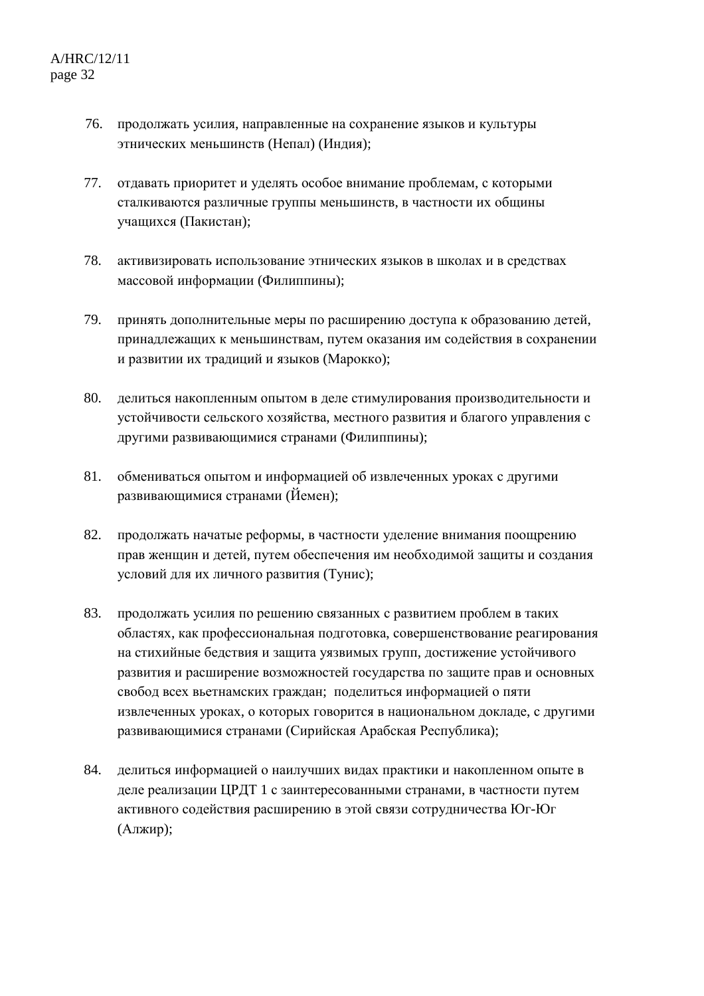- 76. продолжать усилия, направленные на сохранение языков и культуры этнических меньшинств (Непал) (Индия);
- 77. отдавать приоритет и уделять особое внимание проблемам, с которыми сталкиваются различные группы меньшинств, в частности их общины учащихся (Пакистан);
- 78. активизировать использование этнических языков в школах и в средствах массовой информации (Филиппины);
- 79. принять дополнительные меры по расширению доступа к образованию детей, принадлежащих к меньшинствам, путем оказания им содействия в сохранении и развитии их традиций и языков (Марокко);
- 80. делиться накопленным опытом в деле стимулирования производительности и устойчивости сельского хозяйства, местного развития и благого управления с другими развивающимися странами (Филиппины);
- 81. обмениваться опытом и информацией об извлеченных уроках с другими развивающимися странами (Йемен);
- 82. продолжать начатые реформы, в частности уделение внимания поощрению прав женщин и детей, путем обеспечения им необходимой защиты и создания условий для их личного развития (Тунис);
- 83. продолжать усилия по решению связанных с развитием проблем в таких областях, как профессиональная подготовка, совершенствование реагирования на стихийные бедствия и защита уязвимых групп, достижение устойчивого развития и расширение возможностей государства по защите прав и основных свобод всех вьетнамских граждан; поделиться информацией о пяти извлеченных уроках, о которых говорится в национальном докладе, с другими развивающимися странами (Сирийская Арабская Республика);
- 84. делиться информацией о наилучших видах практики и накопленном опыте в деле реализации ЦРДТ 1 с заинтересованными странами, в частности путем активного содействия расширению в этой связи сотрудничества Юг-Юг (Алжир);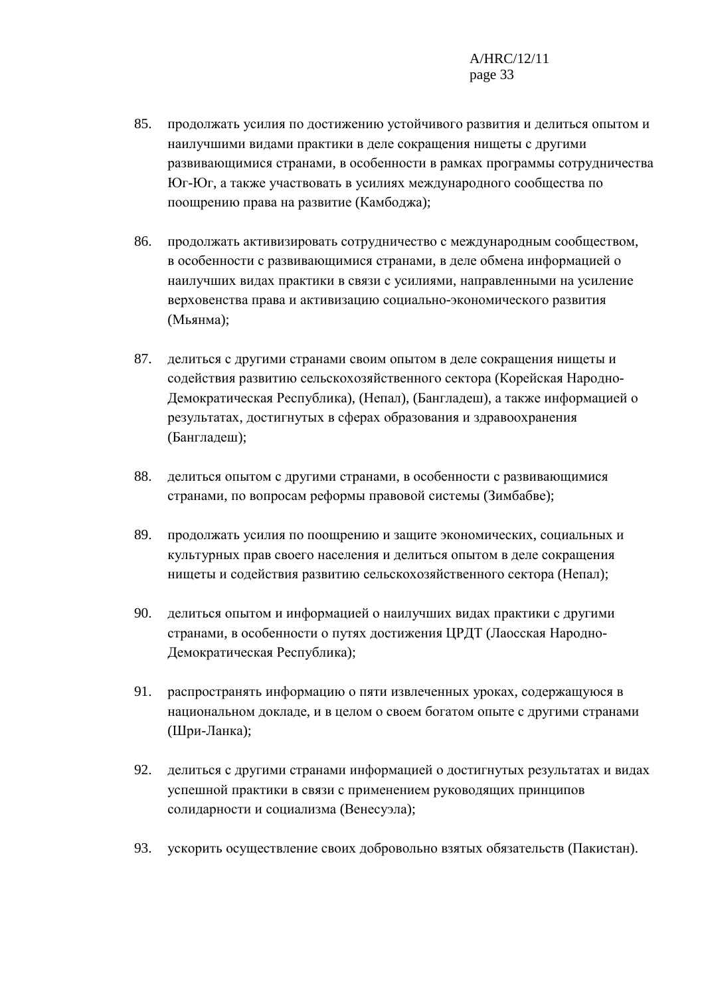- 85. продолжать усилия по достижению устойчивого развития и делиться опытом и наилучшими видами практики в деле сокращения нищеты с другими развивающимися странами, в особенности в рамках программы сотрудничества Юг-Юг, а также участвовать в усилиях международного сообщества по поощрению права на развитие (Камбоджа);
- 86. продолжать активизировать сотрудничество с международным сообществом, в особенности с развивающимися странами, в деле обмена информацией о наилучших видах практики в связи с усилиями, направленными на усиление верховенства права и активизацию социально-экономического развития (Мьянма);
- 87. делиться с другими странами своим опытом в деле сокращения нищеты и содействия развитию сельскохозяйственного сектора (Корейская Народно-Демократическая Республика), (Непал), (Бангладеш), а также информацией о результатах, достигнутых в сферах образования и здравоохранения (Бангладеш);
- 88. делиться опытом с другими странами, в особенности с развивающимися странами, по вопросам реформы правовой системы (Зимбабве);
- 89. продолжать усилия по поощрению и защите экономических, социальных и культурных прав своего населения и делиться опытом в деле сокращения нищеты и содействия развитию сельскохозяйственного сектора (Непал);
- 90. делиться опытом и информацией о наилучших видах практики с другими странами, в особенности о путях достижения ЦРДТ (Лаосская Народно-Демократическая Республика);
- 91. распространять информацию о пяти извлеченных уроках, содержащуюся в национальном докладе, и в целом о своем богатом опыте с другими странами (Шри-Ланка);
- 92. делиться с другими странами информацией о достигнутых результатах и видах успешной практики в связи с применением руководящих принципов солидарности и социализма (Венесуэла);
- 93. ускорить осуществление своих добровольно взятых обязательств (Пакистан).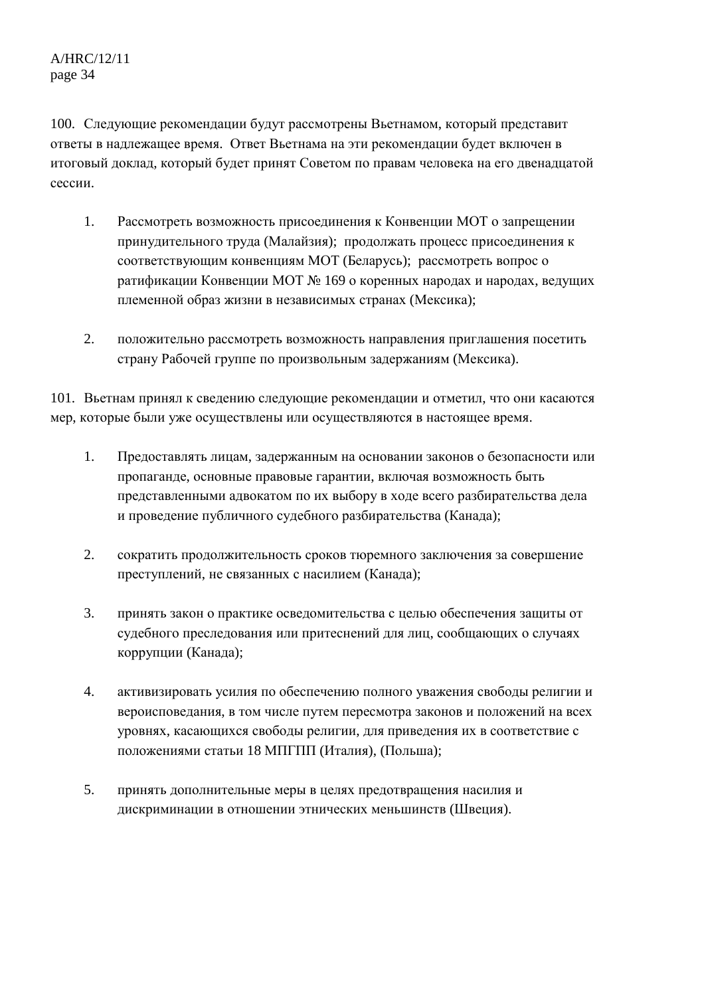100. Следующие рекомендации будут рассмотрены Вьетнамом, который представит ответы в надлежащее время. Ответ Вьетнама на эти рекомендации будет включен в итоговый доклад, который будет принят Советом по правам человека на его двенадцатой сессии.

- 1. Рассмотреть возможность присоединения к Конвенции МОТ о запрещении принудительного труда (Малайзия); продолжать процесс присоединения к соответствующим конвенциям МОТ (Беларусь); рассмотреть вопрос о ратификации Конвенции МОТ № 169 о коренных народах и народах, ведущих племенной образ жизни в независимых странах (Мексика);
- 2. положительно рассмотреть возможность направления приглашения посетить страну Рабочей группе по произвольным задержаниям (Мексика).

101. Вьетнам принял к сведению следующие рекомендации и отметил, что они касаются мер, которые были уже осуществлены или осуществляются в настоящее время.

- 1. Предоставлять лицам, задержанным на основании законов о безопасности или пропаганде, основные правовые гарантии, включая возможность быть представленными адвокатом по их выбору в ходе всего разбирательства дела и проведение публичного судебного разбирательства (Канада);
- 2. сократить продолжительность сроков тюремного заключения за совершение преступлений, не связанных с насилием (Канада);
- 3. принять закон о практике осведомительства с целью обеспечения защиты от судебного преследования или притеснений для лиц, сообщающих о случаях коррупции (Канада);
- 4. активизировать усилия по обеспечению полного уважения свободы религии и вероисповедания, в том числе путем пересмотра законов и положений на всех уровнях, касающихся свободы религии, для приведения их в соответствие с положениями статьи 18 МПГПП (Италия), (Польша);
- 5. принять дополнительные меры в целях предотвращения насилия и дискриминации в отношении этнических меньшинств (Швеция).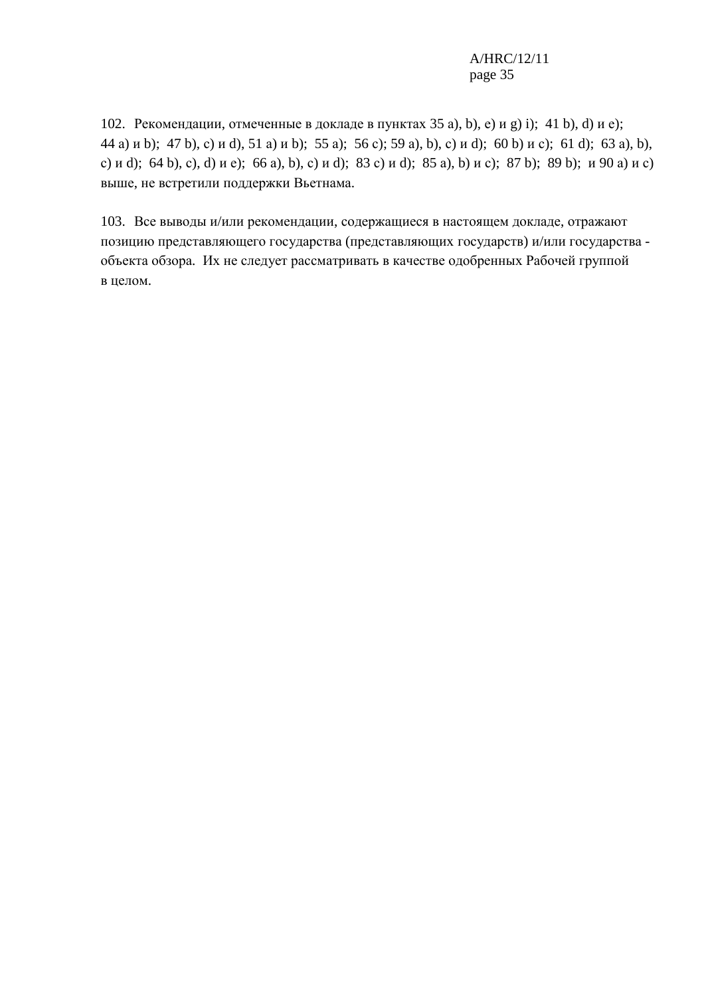#### A/HRC/12/11 page 35

102. Рекомендации, отмеченные в докладе в пунктах 35 а), b), е) и g) i); 41 b), d) и е); 44 а) и b); 47 b), с) и d), 51 а) и b); 55 а); 56 с); 59 а), b), с) и d); 60 b) и с); 61 d); 63 а), b), с) и d); 64 b), с), d) и е); 66 а), b), с) и d); 83 с) и d); 85 а), b) и с); 87 b); 89 b); и 90 а) и с) выше, не встретили поддержки Вьетнама.

103. Все выводы и/или рекомендации, содержащиеся в настоящем докладе, отражают позицию представляющего государства (представляющих государств) и/или государства объекта обзора. Их не следует рассматривать в качестве одобренных Рабочей группой в целом.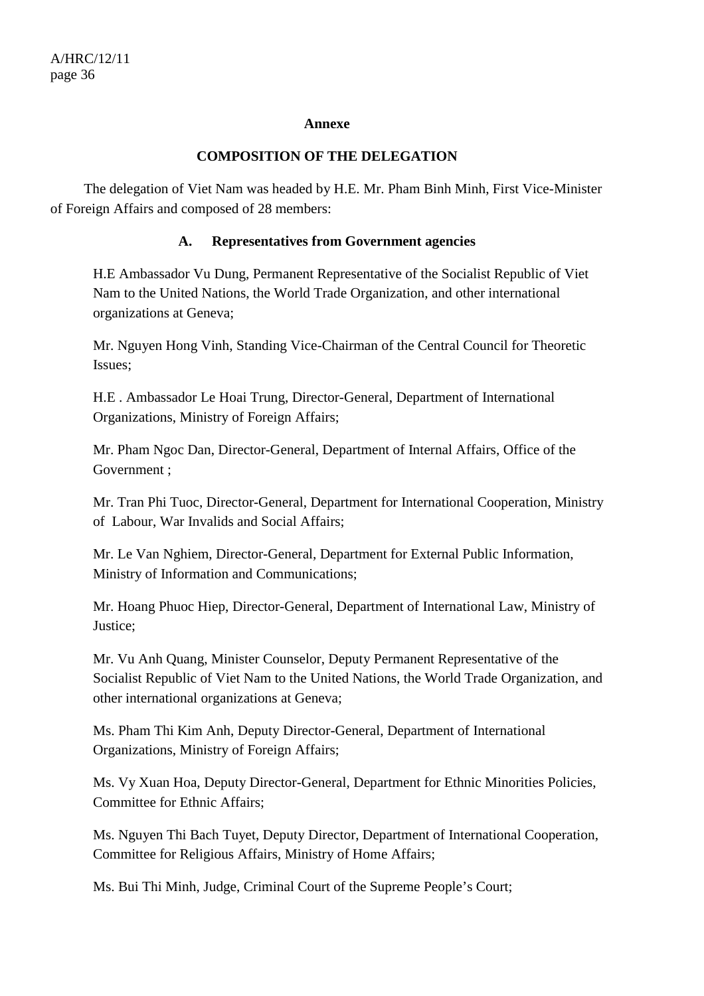#### **Annexe**

#### **COMPOSITION OF THE DELEGATION**

 The delegation of Viet Nam was headed by H.E. Mr. Pham Binh Minh, First Vice-Minister of Foreign Affairs and composed of 28 members:

#### **A. Representatives from Government agencies**

H.E Ambassador Vu Dung, Permanent Representative of the Socialist Republic of Viet Nam to the United Nations, the World Trade Organization, and other international organizations at Geneva;

Mr. Nguyen Hong Vinh, Standing Vice-Chairman of the Central Council for Theoretic Issues;

H.E . Ambassador Le Hoai Trung, Director-General, Department of International Organizations, Ministry of Foreign Affairs;

Mr. Pham Ngoc Dan, Director-General, Department of Internal Affairs, Office of the Government ;

Mr. Tran Phi Tuoc, Director-General, Department for International Cooperation, Ministry of Labour, War Invalids and Social Affairs;

Mr. Le Van Nghiem, Director-General, Department for External Public Information, Ministry of Information and Communications;

Mr. Hoang Phuoc Hiep, Director-General, Department of International Law, Ministry of Justice;

Mr. Vu Anh Quang, Minister Counselor, Deputy Permanent Representative of the Socialist Republic of Viet Nam to the United Nations, the World Trade Organization, and other international organizations at Geneva;

Ms. Pham Thi Kim Anh, Deputy Director-General, Department of International Organizations, Ministry of Foreign Affairs;

Ms. Vy Xuan Hoa, Deputy Director-General, Department for Ethnic Minorities Policies, Committee for Ethnic Affairs;

Ms. Nguyen Thi Bach Tuyet, Deputy Director, Department of International Cooperation, Committee for Religious Affairs, Ministry of Home Affairs;

Ms. Bui Thi Minh, Judge, Criminal Court of the Supreme People's Court;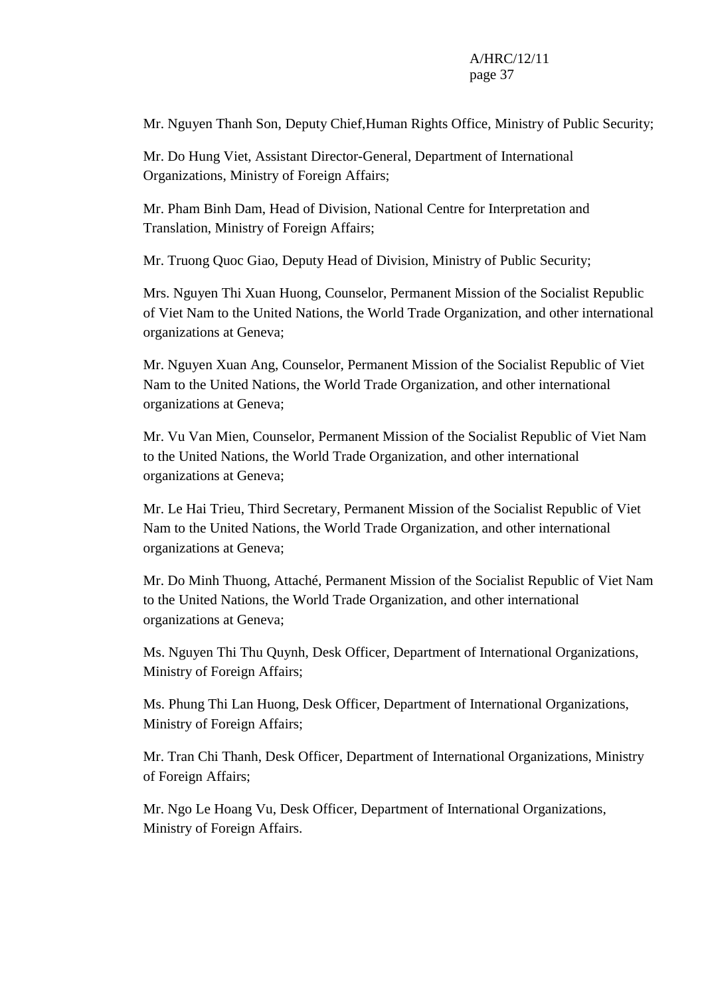#### A/HRC/12/11 page 37

Mr. Nguyen Thanh Son, Deputy Chief,Human Rights Office, Ministry of Public Security;

Mr. Do Hung Viet, Assistant Director-General, Department of International Organizations, Ministry of Foreign Affairs;

Mr. Pham Binh Dam, Head of Division, National Centre for Interpretation and Translation, Ministry of Foreign Affairs;

Mr. Truong Quoc Giao, Deputy Head of Division, Ministry of Public Security;

Mrs. Nguyen Thi Xuan Huong, Counselor, Permanent Mission of the Socialist Republic of Viet Nam to the United Nations, the World Trade Organization, and other international organizations at Geneva;

Mr. Nguyen Xuan Ang, Counselor, Permanent Mission of the Socialist Republic of Viet Nam to the United Nations, the World Trade Organization, and other international organizations at Geneva;

Mr. Vu Van Mien, Counselor, Permanent Mission of the Socialist Republic of Viet Nam to the United Nations, the World Trade Organization, and other international organizations at Geneva;

Mr. Le Hai Trieu, Third Secretary, Permanent Mission of the Socialist Republic of Viet Nam to the United Nations, the World Trade Organization, and other international organizations at Geneva;

Mr. Do Minh Thuong, Attaché, Permanent Mission of the Socialist Republic of Viet Nam to the United Nations, the World Trade Organization, and other international organizations at Geneva;

Ms. Nguyen Thi Thu Quynh, Desk Officer, Department of International Organizations, Ministry of Foreign Affairs;

Ms. Phung Thi Lan Huong, Desk Officer, Department of International Organizations, Ministry of Foreign Affairs;

Mr. Tran Chi Thanh, Desk Officer, Department of International Organizations, Ministry of Foreign Affairs;

Mr. Ngo Le Hoang Vu, Desk Officer, Department of International Organizations, Ministry of Foreign Affairs.